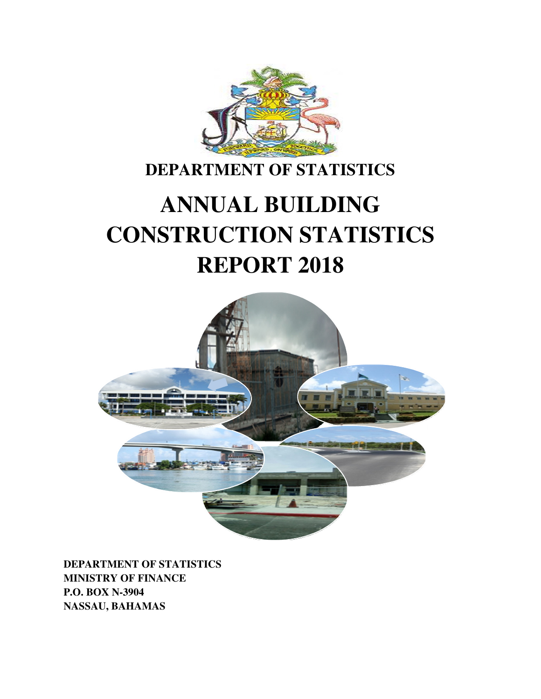

# **DEPARTMENT OF STATISTICS**

# **ANNUAL BUILDING CONSTRUCTION STATISTICS REPORT 2018**



**DEPARTMENT OF STATISTICS MINISTRY OF FINANCE P.O. BOX N-3904 NASSAU, BAHAMAS**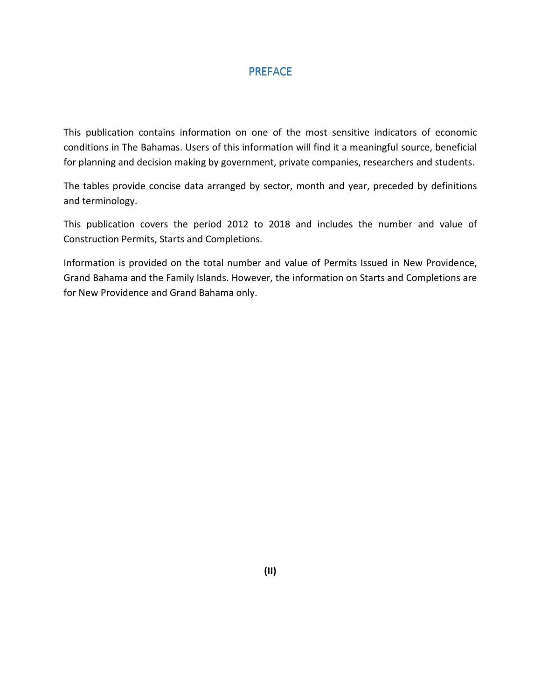#### PREFACE

This publication contains information on one of the most sensitive indicators of economic conditions in The Bahamas. Users of this information will find it a meaningful source, beneficial for planning and decision making by government, private companies, researchers and students.

The tables provide concise data arranged by sector, month and year, preceded by definitions and terminology.

This publication covers the period 2012 to 2018 and includes the number and value of Construction Permits, Starts and Completions.

Information is provided on the total number and value of Permits Issued in New Providence, Grand Bahama and the Family Islands. However, the information on Starts and Completions are for New Providence and Grand Bahama only.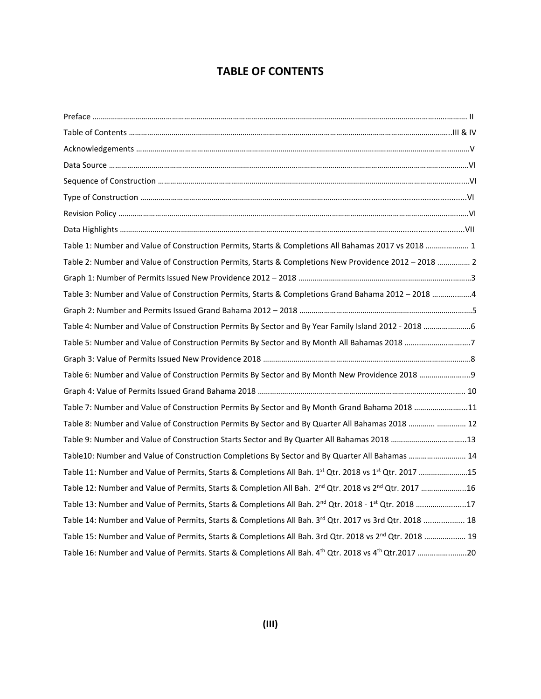## **TABLE OF CONTENTS**

| Table 1: Number and Value of Construction Permits, Starts & Completions All Bahamas 2017 vs 2018  1                            |
|--------------------------------------------------------------------------------------------------------------------------------|
| Table 2: Number and Value of Construction Permits, Starts & Completions New Providence 2012 - 2018  2                          |
|                                                                                                                                |
| Table 3: Number and Value of Construction Permits, Starts & Completions Grand Bahama 2012 - 2018 4                             |
|                                                                                                                                |
| Table 4: Number and Value of Construction Permits By Sector and By Year Family Island 2012 - 2018 6                            |
| Table 5: Number and Value of Construction Permits By Sector and By Month All Bahamas 2018 7                                    |
|                                                                                                                                |
|                                                                                                                                |
|                                                                                                                                |
| Table 7: Number and Value of Construction Permits By Sector and By Month Grand Bahama 2018 11                                  |
| Table 8: Number and Value of Construction Permits By Sector and By Quarter All Bahamas 2018   12                               |
| Table 9: Number and Value of Construction Starts Sector and By Quarter All Bahamas 2018 13                                     |
| Table10: Number and Value of Construction Completions By Sector and By Quarter All Bahamas  14                                 |
| Table 11: Number and Value of Permits, Starts & Completions All Bah. 1 <sup>st</sup> Qtr. 2018 vs 1 <sup>st</sup> Qtr. 2017 15 |
| Table 12: Number and Value of Permits, Starts & Completion All Bah. 2 <sup>nd</sup> Qtr. 2018 vs 2 <sup>nd</sup> Qtr. 2017 16  |
| Table 13: Number and Value of Permits, Starts & Completions All Bah. 2 <sup>nd</sup> Qtr. 2018 - 1 <sup>st</sup> Qtr. 2018 17  |
| Table 14: Number and Value of Permits, Starts & Completions All Bah. 3rd Qtr. 2017 vs 3rd Qtr. 2018  18                        |
| Table 15: Number and Value of Permits, Starts & Completions All Bah. 3rd Qtr. 2018 vs 2 <sup>nd</sup> Qtr. 2018  19            |
| Table 16: Number and Value of Permits. Starts & Completions All Bah. 4 <sup>th</sup> Qtr. 2018 vs 4 <sup>th</sup> Qtr.2017 20  |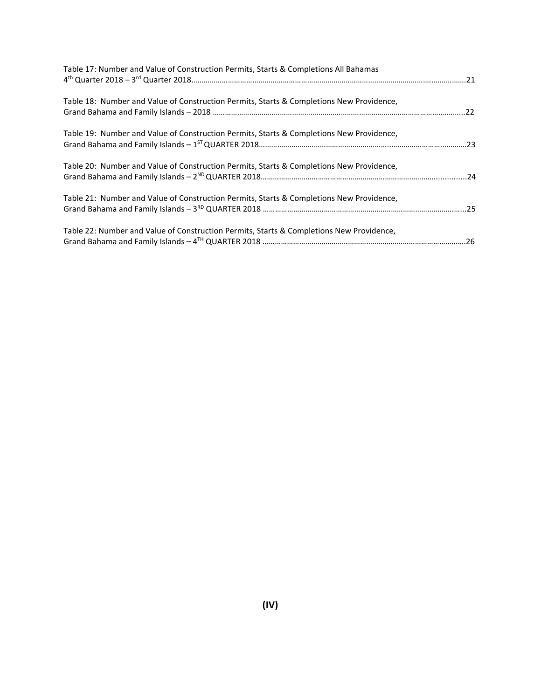| Table 17: Number and Value of Construction Permits, Starts & Completions All Bahamas     |  |
|------------------------------------------------------------------------------------------|--|
| Table 18: Number and Value of Construction Permits, Starts & Completions New Providence, |  |
| Table 19: Number and Value of Construction Permits, Starts & Completions New Providence, |  |
| Table 20: Number and Value of Construction Permits, Starts & Completions New Providence, |  |
| Table 21: Number and Value of Construction Permits, Starts & Completions New Providence, |  |
| Table 22: Number and Value of Construction Permits, Starts & Completions New Providence, |  |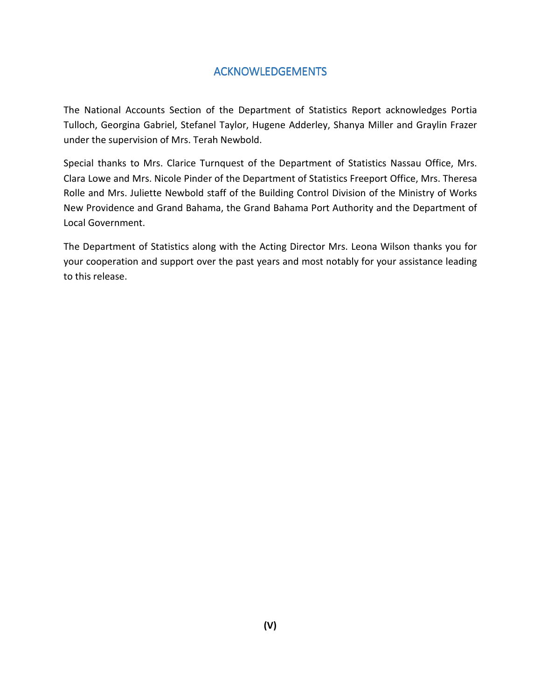## ACKNOWLEDGEMENTS

The National Accounts Section of the Department of Statistics Report acknowledges Portia Tulloch, Georgina Gabriel, Stefanel Taylor, Hugene Adderley, Shanya Miller and Graylin Frazer under the supervision of Mrs. Terah Newbold.

Special thanks to Mrs. Clarice Turnquest of the Department of Statistics Nassau Office, Mrs. Clara Lowe and Mrs. Nicole Pinder of the Department of Statistics Freeport Office, Mrs. Theresa Rolle and Mrs. Juliette Newbold staff of the Building Control Division of the Ministry of Works New Providence and Grand Bahama, the Grand Bahama Port Authority and the Department of Local Government.

The Department of Statistics along with the Acting Director Mrs. Leona Wilson thanks you for your cooperation and support over the past years and most notably for your assistance leading to this release.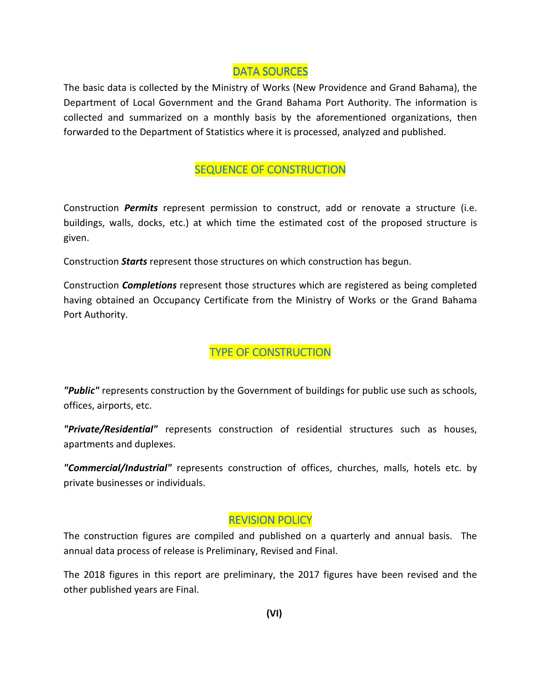#### DATA SOURCES

The basic data is collected by the Ministry of Works (New Providence and Grand Bahama), the Department of Local Government and the Grand Bahama Port Authority. The information is collected and summarized on a monthly basis by the aforementioned organizations, then forwarded to the Department of Statistics where it is processed, analyzed and published.

#### **SEQUENCE OF CONSTRUCTION**

Construction *Permits* represent permission to construct, add or renovate a structure (i.e. buildings, walls, docks, etc.) at which time the estimated cost of the proposed structure is given.

Construction *Starts* represent those structures on which construction has begun.

Construction *Completions* represent those structures which are registered as being completed having obtained an Occupancy Certificate from the Ministry of Works or the Grand Bahama Port Authority.

TYPE OF CONSTRUCTION

*"Public"* represents construction by the Government of buildings for public use such as schools, offices, airports, etc.

*"Private/Residential"* represents construction of residential structures such as houses, apartments and duplexes.

*"Commercial/Industrial"* represents construction of offices, churches, malls, hotels etc. by private businesses or individuals.

## **REVISION POLICY**

The construction figures are compiled and published on a quarterly and annual basis. The annual data process of release is Preliminary, Revised and Final.

The 2018 figures in this report are preliminary, the 2017 figures have been revised and the other published years are Final.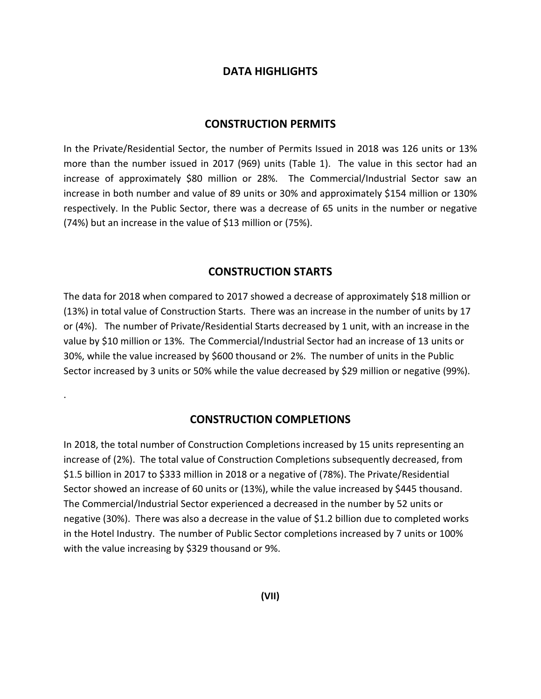#### **DATA HIGHLIGHTS**

#### **CONSTRUCTION PERMITS**

In the Private/Residential Sector, the number of Permits Issued in 2018 was 126 units or 13% more than the number issued in 2017 (969) units (Table 1). The value in this sector had an increase of approximately \$80 million or 28%. The Commercial/Industrial Sector saw an increase in both number and value of 89 units or 30% and approximately \$154 million or 130% respectively. In the Public Sector, there was a decrease of 65 units in the number or negative (74%) but an increase in the value of \$13 million or (75%).

#### **CONSTRUCTION STARTS**

The data for 2018 when compared to 2017 showed a decrease of approximately \$18 million or (13%) in total value of Construction Starts. There was an increase in the number of units by 17 or (4%). The number of Private/Residential Starts decreased by 1 unit, with an increase in the value by \$10 million or 13%. The Commercial/Industrial Sector had an increase of 13 units or 30%, while the value increased by \$600 thousand or 2%. The number of units in the Public Sector increased by 3 units or 50% while the value decreased by \$29 million or negative (99%).

#### **CONSTRUCTION COMPLETIONS**

.

In 2018, the total number of Construction Completions increased by 15 units representing an increase of (2%). The total value of Construction Completions subsequently decreased, from \$1.5 billion in 2017 to \$333 million in 2018 or a negative of (78%). The Private/Residential Sector showed an increase of 60 units or (13%), while the value increased by \$445 thousand. The Commercial/Industrial Sector experienced a decreased in the number by 52 units or negative (30%). There was also a decrease in the value of \$1.2 billion due to completed works in the Hotel Industry. The number of Public Sector completions increased by 7 units or 100% with the value increasing by \$329 thousand or 9%.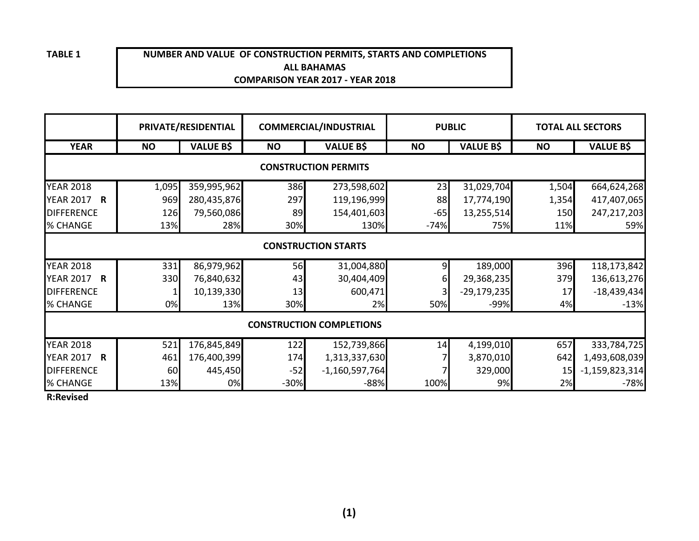#### **NUMBER AND VALUE OF CONSTRUCTION PERMITS, STARTS AND COMPLETIONSALL BAHAMASCOMPARISON YEAR 2017 - YEAR 2018**

|                                  |                            | PRIVATE/RESIDENTIAL |           | <b>COMMERCIAL/INDUSTRIAL</b> | <b>PUBLIC</b> |                  | <b>TOTAL ALL SECTORS</b> |                  |  |  |  |  |
|----------------------------------|----------------------------|---------------------|-----------|------------------------------|---------------|------------------|--------------------------|------------------|--|--|--|--|
| <b>YEAR</b>                      | <b>NO</b>                  | <b>VALUE B\$</b>    | <b>NO</b> | <b>VALUE B\$</b>             | <b>NO</b>     | <b>VALUE B\$</b> | <b>NO</b>                | <b>VALUE B\$</b> |  |  |  |  |
| <b>CONSTRUCTION PERMITS</b>      |                            |                     |           |                              |               |                  |                          |                  |  |  |  |  |
| <b>YEAR 2018</b>                 | 1,095                      | 359,995,962         | 386       | 273,598,602                  | 23            | 31,029,704       | 1,504                    | 664,624,268      |  |  |  |  |
| <b>YEAR 2017 R</b>               | 969                        | 280,435,876         | 297       | 119,196,999                  | 88            | 17,774,190       | 1,354                    | 417,407,065      |  |  |  |  |
| <b>DIFFERENCE</b>                | 126                        | 79,560,086          | 89        | 154,401,603                  | $-65$         | 13,255,514       | 150                      | 247,217,203      |  |  |  |  |
| % CHANGE                         | 13%                        | 28%                 | 30%       | 130%                         | $-74%$        | 75%              | 11%                      | 59%              |  |  |  |  |
|                                  | <b>CONSTRUCTION STARTS</b> |                     |           |                              |               |                  |                          |                  |  |  |  |  |
| <b>YEAR 2018</b>                 | 331                        | 86,979,962          | 56        | 31,004,880                   |               | 189,000          | 396                      | 118,173,842      |  |  |  |  |
| <b>YEAR 2017</b><br>$\mathsf{R}$ | 330                        | 76,840,632          | 43        | 30,404,409                   | 61            | 29,368,235       | 379                      | 136,613,276      |  |  |  |  |
| <b>DIFFERENCE</b>                | 1                          | 10,139,330          | 13        | 600,471                      |               | $-29,179,235$    | 17                       | $-18,439,434$    |  |  |  |  |
| % CHANGE                         | 0%                         | 13%                 | 30%       | 2%                           | 50%           | $-99%$           | 4%                       | $-13%$           |  |  |  |  |
| <b>CONSTRUCTION COMPLETIONS</b>  |                            |                     |           |                              |               |                  |                          |                  |  |  |  |  |
| <b>YEAR 2018</b>                 | 521                        | 176,845,849         | 122       | 152,739,866                  | 14            | 4,199,010        | 657                      | 333,784,725      |  |  |  |  |
| <b>YEAR 2017 R</b>               | 461                        | 176,400,399         | 174       | 1,313,337,630                |               | 3,870,010        | 642                      | 1,493,608,039    |  |  |  |  |
| <b>DIFFERENCE</b>                | 60                         | 445,450             | $-52$     | $-1,160,597,764$             |               | 329,000          | 15                       | $-1,159,823,314$ |  |  |  |  |
| % CHANGE                         | 13%                        | 0%                  | $-30%$    | $-88%$                       | 100%          | 9%               | 2%                       | $-78%$           |  |  |  |  |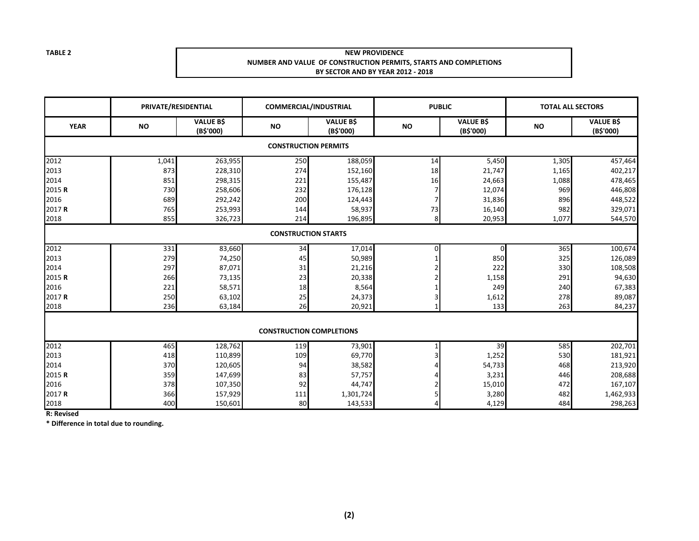#### **NEW PROVIDENCE NUMBER AND VALUE OF CONSTRUCTION PERMITS, STARTS AND COMPLETIONSBY SECTOR AND BY YEAR 2012 - 2018**

|                             | PRIVATE/RESIDENTIAL        |                               |           | <b>COMMERCIAL/INDUSTRIAL</b>    |           | <b>PUBLIC</b>                 |           | <b>TOTAL ALL SECTORS</b>      |  |  |  |
|-----------------------------|----------------------------|-------------------------------|-----------|---------------------------------|-----------|-------------------------------|-----------|-------------------------------|--|--|--|
| <b>YEAR</b>                 | <b>NO</b>                  | <b>VALUE B\$</b><br>(B\$'000) | <b>NO</b> | <b>VALUE B\$</b><br>(B\$'000)   | <b>NO</b> | <b>VALUE B\$</b><br>(B\$'000) | <b>NO</b> | <b>VALUE B\$</b><br>(B\$'000) |  |  |  |
| <b>CONSTRUCTION PERMITS</b> |                            |                               |           |                                 |           |                               |           |                               |  |  |  |
| 2012                        | 1,041                      | 263,955                       | 250       | 188,059                         | 14        | 5,450                         | 1,305     | 457,464                       |  |  |  |
| 2013                        | 873                        | 228,310                       | 274       | 152,160                         | 18        | 21,747                        | 1,165     | 402,217                       |  |  |  |
| 2014                        | 851                        | 298,315                       | 221       | 155,487                         | 16        | 24,663                        | 1,088     | 478,465                       |  |  |  |
| 2015 R                      | 730                        | 258,606                       | 232       | 176,128                         |           | 12,074                        | 969       | 446,808                       |  |  |  |
| 2016                        | 689                        | 292,242                       | 200       | 124,443                         |           | 31,836                        | 896       | 448,522                       |  |  |  |
| 2017 R                      | 765                        | 253,993                       | 144       | 58,937                          | 73        | 16,140                        | 982       | 329,071                       |  |  |  |
| 2018                        | 855                        | 326,723                       | 214       | 196,895                         | 8         | 20,953                        | 1,077     | 544,570                       |  |  |  |
|                             | <b>CONSTRUCTION STARTS</b> |                               |           |                                 |           |                               |           |                               |  |  |  |
| 2012                        | 331                        | 83,660                        | 34        | 17,014                          |           | 0                             | 365       | 100,674                       |  |  |  |
| 2013                        | 279                        | 74,250                        | 45        | 50,989                          |           | 850                           | 325       | 126,089                       |  |  |  |
| 2014                        | 297                        | 87,071                        | 31        | 21,216                          |           | 222                           | 330       | 108,508                       |  |  |  |
| 2015 R                      | 266                        | 73,135                        | 23        | 20,338                          |           | 1,158                         | 291       | 94,630                        |  |  |  |
| 2016                        | 221                        | 58,571                        | 18        | 8,564                           |           | 249                           | 240       | 67,383                        |  |  |  |
| 2017 R                      | 250                        | 63,102                        | 25        | 24,373                          |           | 1,612                         | 278       | 89,087                        |  |  |  |
| 2018                        | 236                        | 63,184                        | 26        | 20,921                          |           | 133                           | 263       | 84,237                        |  |  |  |
|                             |                            |                               |           |                                 |           |                               |           |                               |  |  |  |
|                             |                            |                               |           | <b>CONSTRUCTION COMPLETIONS</b> |           |                               |           |                               |  |  |  |
| 2012                        | 465                        | 128,762                       | 119       | 73,901                          |           | 39                            | 585       | 202,701                       |  |  |  |
| 2013                        | 418                        | 110,899                       | 109       | 69,770                          |           | 1,252                         | 530       | 181,921                       |  |  |  |
| 2014                        | 370                        | 120,605                       | 94        | 38,582                          |           | 54,733                        | 468       | 213,920                       |  |  |  |
| 2015 R                      | 359                        | 147,699                       | 83        | 57,757                          |           | 3,231                         | 446       | 208,688                       |  |  |  |
| 2016                        | 378                        | 107,350                       | 92        | 44,747                          |           | 15,010                        | 472       | 167,107                       |  |  |  |
| 2017 R                      | 366                        | 157,929                       | 111       | 1,301,724                       |           | 3,280                         | 482       | 1,462,933                     |  |  |  |
| 2018                        | 400                        | 150,601                       | 80        | 143,533                         |           | 4,129                         | 484       | 298,263                       |  |  |  |

**R: Revised**

**\* Difference in total due to rounding.**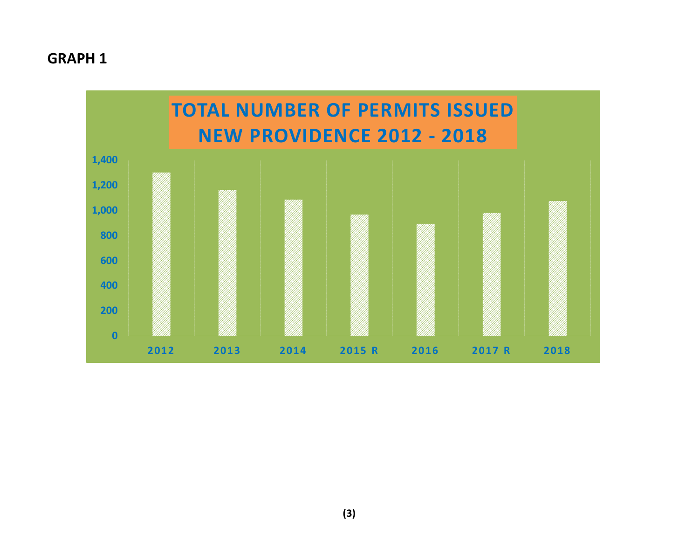# **GRAPH 1**

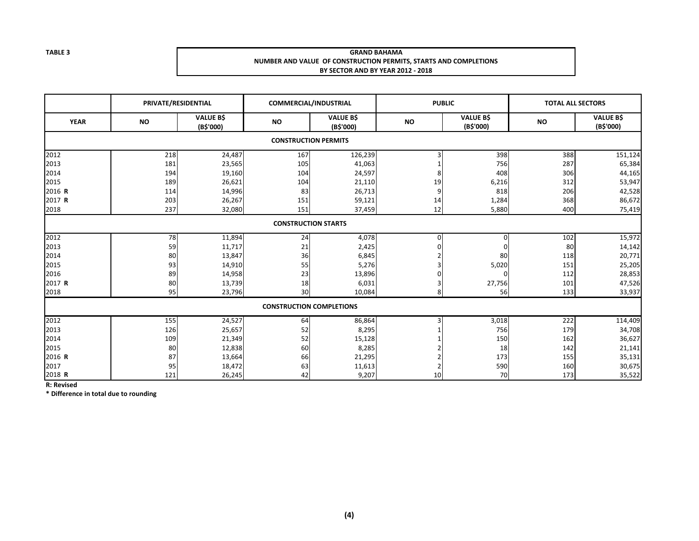#### **GRAND BAHAMA NUMBER AND VALUE OF CONSTRUCTION PERMITS, STARTS AND COMPLETIONSBY SECTOR AND BY YEAR 2012 - 2018**

|             | PRIVATE/RESIDENTIAL        |                               | <b>COMMERCIAL/INDUSTRIAL</b>    |                               | <b>PUBLIC</b> |                               | <b>TOTAL ALL SECTORS</b> |                               |  |  |
|-------------|----------------------------|-------------------------------|---------------------------------|-------------------------------|---------------|-------------------------------|--------------------------|-------------------------------|--|--|
| <b>YEAR</b> | <b>NO</b>                  | <b>VALUE B\$</b><br>(B\$'000) | <b>NO</b>                       | <b>VALUE B\$</b><br>(B\$'000) | <b>NO</b>     | <b>VALUE B\$</b><br>(B\$'000) | <b>NO</b>                | <b>VALUE B\$</b><br>(B\$'000) |  |  |
|             |                            |                               | <b>CONSTRUCTION PERMITS</b>     |                               |               |                               |                          |                               |  |  |
| 2012        | 218                        | 24,487                        | 167                             | 126,239                       |               | 398                           | 388                      | 151,124                       |  |  |
| 2013        | 181                        | 23,565                        | 105                             | 41,063                        |               | 756                           | 287                      | 65,384                        |  |  |
| 2014        | 194                        | 19,160                        | 104                             | 24,597                        | 8             | 408                           | 306                      | 44,165                        |  |  |
| 2015        | 189                        | 26,621                        | 104                             | 21,110                        | 19            | 6,216                         | 312                      | 53,947                        |  |  |
| 2016 R      | 114                        | 14,996                        | 83                              | 26,713                        | 9             | 818                           | 206                      | 42,528                        |  |  |
| 2017 R      | 203                        | 26,267                        | 151                             | 59,121                        | 14            | 1,284                         | 368                      | 86,672                        |  |  |
| 2018        | 237                        | 32,080                        | 151                             | 37,459                        | 12            | 5,880                         | 400                      | 75,419                        |  |  |
|             | <b>CONSTRUCTION STARTS</b> |                               |                                 |                               |               |                               |                          |                               |  |  |
| 2012        | 78                         | 11,894                        | 24                              | 4,078                         | O             | 0                             | 102                      | 15,972                        |  |  |
| 2013        | 59                         | 11,717                        | 21                              | 2,425                         | U             | $\mathbf 0$                   | 80                       | 14,142                        |  |  |
| 2014        | 80                         | 13,847                        | 36                              | 6,845                         |               | 80                            | 118                      | 20,771                        |  |  |
| 2015        | 93                         | 14,910                        | 55                              | 5,276                         |               | 5,020                         | 151                      | 25,205                        |  |  |
| 2016        | 89                         | 14,958                        | 23                              | 13,896                        |               | 0                             | 112                      | 28,853                        |  |  |
| 2017 R      | 80                         | 13,739                        | 18                              | 6,031                         |               | 27,756                        | 101                      | 47,526                        |  |  |
| 2018        | 95                         | 23,796                        | 30                              | 10,084                        | 8             | 56                            | 133                      | 33,937                        |  |  |
|             |                            |                               | <b>CONSTRUCTION COMPLETIONS</b> |                               |               |                               |                          |                               |  |  |
| 2012        | 155                        | 24,527                        | 64                              | 86,864                        |               | 3,018                         | 222                      | 114,409                       |  |  |
| 2013        | 126                        | 25,657                        | 52                              | 8,295                         |               | 756                           | 179                      | 34,708                        |  |  |
| 2014        | 109                        | 21,349                        | 52                              | 15,128                        |               | 150                           | 162                      | 36,627                        |  |  |
| 2015        | 80                         | 12,838                        | 60                              | 8,285                         |               | 18                            | 142                      | 21,141                        |  |  |
| 2016 R      | 87                         | 13,664                        | 66                              | 21,295                        |               | 173                           | 155                      | 35,131                        |  |  |
| 2017        | 95                         | 18,472                        | 63                              | 11,613                        |               | 590                           | 160                      | 30,675                        |  |  |
| 2018 R      | 121                        | 26,245                        | 42                              | 9,207                         | 10            | 70                            | 173                      | 35,522                        |  |  |

**R: Revised**

**\* Difference in total due to rounding**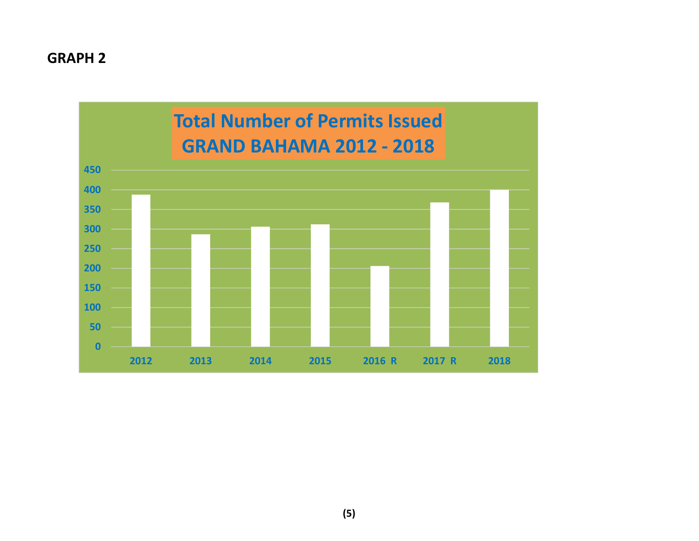## **GRAPH 2**

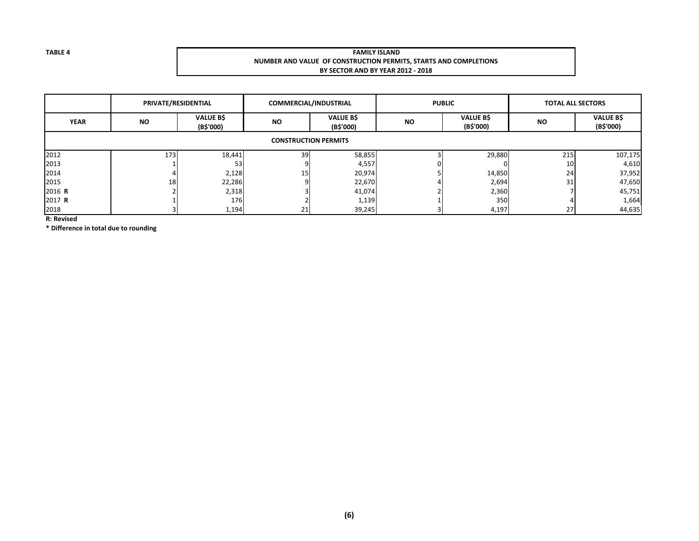#### **FAMILY ISLAND NUMBER AND VALUE OF CONSTRUCTION PERMITS, STARTS AND COMPLETIONSBY SECTOR AND BY YEAR 2012 - 2018**

|             | PRIVATE/RESIDENTIAL         |                               | COMMERCIAL/INDUSTRIAL |                               |           | <b>PUBLIC</b>                | <b>TOTAL ALL SECTORS</b> |                               |  |  |  |  |
|-------------|-----------------------------|-------------------------------|-----------------------|-------------------------------|-----------|------------------------------|--------------------------|-------------------------------|--|--|--|--|
| <b>YEAR</b> | <b>NO</b>                   | <b>VALUE B\$</b><br>(B\$'000) | <b>NO</b>             | <b>VALUE B\$</b><br>(B\$'000) | <b>NO</b> | <b>VALUE BS</b><br>(B\$'000) | <b>NO</b>                | <b>VALUE B\$</b><br>(B\$'000) |  |  |  |  |
|             | <b>CONSTRUCTION PERMITS</b> |                               |                       |                               |           |                              |                          |                               |  |  |  |  |
| 2012        | 173                         | 18,441                        | 39                    | 58,855                        |           | 29,880                       | 215                      | 107,175                       |  |  |  |  |
| 2013        |                             | 53                            |                       | 4,557                         |           |                              | 10                       | 4,610                         |  |  |  |  |
| 2014        |                             | 2,128                         | 15                    | 20,974                        |           | 14,850                       | 24                       | 37,952                        |  |  |  |  |
| 2015        | 18                          | 22,286                        |                       | 22,670                        |           | 2,694                        | 31                       | 47,650                        |  |  |  |  |
| 2016 R      |                             | 2,318                         |                       | 41,074                        |           | 2,360                        |                          | 45,751                        |  |  |  |  |
| 2017 R      |                             | 176                           |                       | 1,139                         |           | 350                          |                          | 1,664                         |  |  |  |  |
| 2018        |                             | 1,194                         | 21                    | 39,245                        |           | 4,197                        | 27                       | 44,635                        |  |  |  |  |

**R: Revised**

**\* Difference in total due to rounding**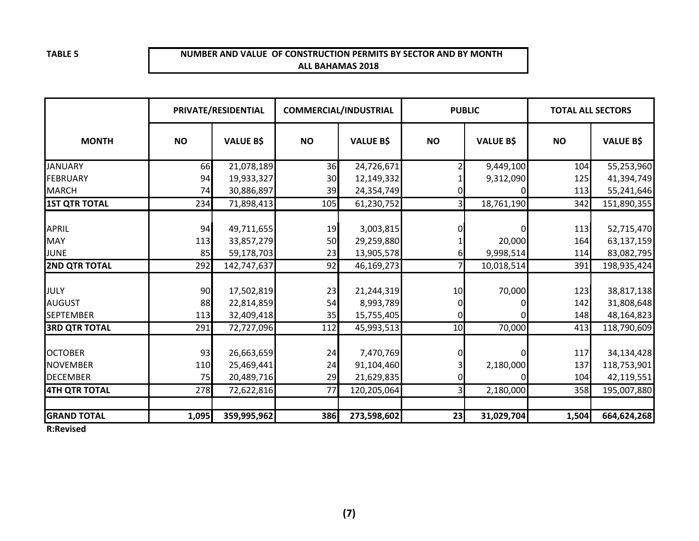#### **NUMBER AND VALUE OF CONSTRUCTION PERMITS BY SECTOR AND BY MONTHALL BAHAMAS 2018**

|                                                      | PRIVATE/RESIDENTIAL |                                        | <b>COMMERCIAL/INDUSTRIAL</b> |                                       | <b>PUBLIC</b> |                            | <b>TOTAL ALL SECTORS</b> |                                         |
|------------------------------------------------------|---------------------|----------------------------------------|------------------------------|---------------------------------------|---------------|----------------------------|--------------------------|-----------------------------------------|
| <b>MONTH</b>                                         | <b>NO</b>           | <b>VALUE B\$</b>                       | <b>NO</b>                    | <b>VALUE B\$</b>                      | <b>NO</b>     | <b>VALUE B\$</b>           | <b>NO</b>                | <b>VALUE B\$</b>                        |
| <b>JANUARY</b>                                       | 66                  | 21,078,189                             | 36                           | 24,726,671                            |               | 9,449,100                  | 104                      | 55,253,960                              |
| <b>FEBRUARY</b>                                      | 94                  | 19,933,327                             | 30                           | 12,149,332                            |               | 9,312,090                  | 125                      | 41,394,749                              |
| <b>MARCH</b>                                         | 74                  | 30,886,897                             | 39                           | 24,354,749                            |               |                            | 113                      | 55,241,646                              |
| <b>1ST QTR TOTAL</b>                                 | 234                 | 71,898,413                             | 105                          | 61,230,752                            |               | 18,761,190                 | 342                      | 151,890,355                             |
| <b>APRIL</b><br><b>MAY</b>                           | 94<br>113           | 49,711,655<br>33,857,279               | 19<br>50                     | 3,003,815<br>29,259,880               |               | 0<br>20,000                | 113<br>164               | 52,715,470<br>63,137,159                |
| <b>JUNE</b>                                          | 85                  | 59,178,703                             | 23                           | 13,905,578                            |               | 9,998,514                  | 114                      | 83,082,795                              |
| <b>2ND QTR TOTAL</b>                                 | 292                 | 142,747,637                            | 92                           | 46,169,273                            |               | 10,018,514                 | 391                      | 198,935,424                             |
| JULY<br><b>AUGUST</b><br><b>SEPTEMBER</b>            | 90<br>88<br>113     | 17,502,819<br>22,814,859<br>32,409,418 | 23<br>54<br>35               | 21,244,319<br>8,993,789<br>15,755,405 | 10            | 70,000                     | 123<br>142<br>148        | 38,817,138<br>31,808,648<br>48,164,823  |
| <b>3RD QTR TOTAL</b>                                 | 291                 | 72,727,096                             | 112                          | 45,993,513                            | 10            | 70,000                     | 413                      | 118,790,609                             |
| <b>OCTOBER</b><br><b>NOVEMBER</b><br><b>DECEMBER</b> | 93<br>110<br>75     | 26,663,659<br>25,469,441<br>20,489,716 | 24<br>24<br>29               | 7,470,769<br>91,104,460<br>21,629,835 |               | $\Omega$<br>2,180,000<br>ŋ | 117<br>137<br>104        | 34,134,428<br>118,753,901<br>42,119,551 |
| <b>4TH QTR TOTAL</b>                                 | 278                 | 72,622,816                             | 77                           | 120,205,064                           |               | 2,180,000                  | 358                      | 195,007,880                             |
| <b>GRAND TOTAL</b>                                   | 1,095               | 359,995,962                            | 386                          | 273,598,602                           | 23            | 31,029,704                 | 1,504                    | 664,624,268                             |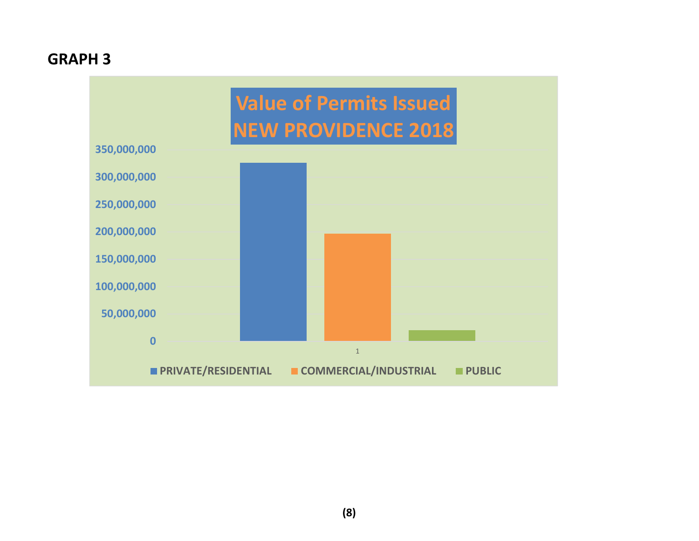# **GRAPH 3**

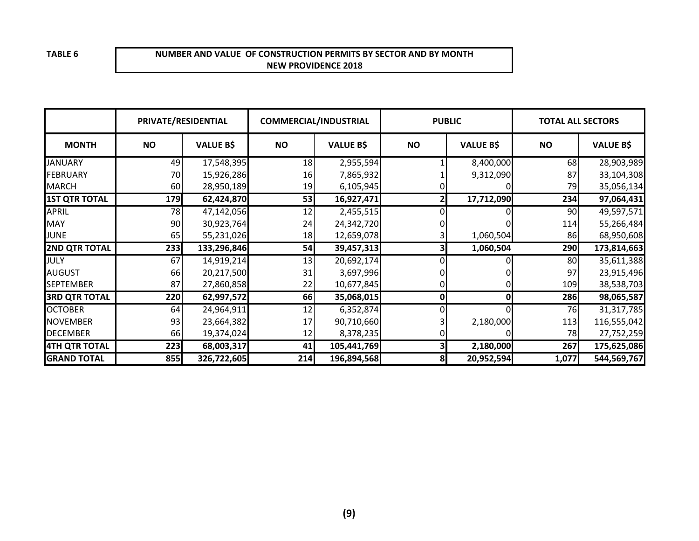#### **NUMBER AND VALUE OF CONSTRUCTION PERMITS BY SECTOR AND BY MONTHNEW PROVIDENCE 2018**

| PRIVATE/RESIDENTIAL  |           | <b>COMMERCIAL/INDUSTRIAL</b> |           |                  | <b>PUBLIC</b> | <b>TOTAL ALL SECTORS</b> |           |                  |
|----------------------|-----------|------------------------------|-----------|------------------|---------------|--------------------------|-----------|------------------|
| <b>MONTH</b>         | <b>NO</b> | <b>VALUE B\$</b>             | <b>NO</b> | <b>VALUE B\$</b> | <b>NO</b>     | <b>VALUE B\$</b>         | <b>NO</b> | <b>VALUE B\$</b> |
| <b>JANUARY</b>       | 49        | 17,548,395                   | 18        | 2,955,594        |               | 8,400,000                | 68        | 28,903,989       |
| <b>FEBRUARY</b>      | 70        | 15,926,286                   | 16        | 7,865,932        |               | 9,312,090                | 87        | 33,104,308       |
| <b>MARCH</b>         | 60        | 28,950,189                   | 19        | 6,105,945        |               |                          | 79        | 35,056,134       |
| <b>1ST QTR TOTAL</b> | 179       | 62,424,870                   | 53        | 16,927,471       |               | 17,712,090               | 234       | 97,064,431       |
| <b>APRIL</b>         | 78        | 47,142,056                   | 12        | 2,455,515        |               |                          | 90        | 49,597,571       |
| <b>MAY</b>           | 90        | 30,923,764                   | 24        | 24,342,720       |               |                          | 114       | 55,266,484       |
| <b>JUNE</b>          | 65        | 55,231,026                   | 18        | 12,659,078       |               | 1,060,504                | 86        | 68,950,608       |
| <b>2ND QTR TOTAL</b> | 233       | 133,296,846                  | 54        | 39,457,313       |               | 1,060,504                | 290       | 173,814,663      |
| JULY                 | 67        | 14,919,214                   | 13        | 20,692,174       |               |                          | 80        | 35,611,388       |
| <b>AUGUST</b>        | 66        | 20,217,500                   | 31        | 3,697,996        |               |                          | 97        | 23,915,496       |
| <b>SEPTEMBER</b>     | 87        | 27,860,858                   | 22        | 10,677,845       |               |                          | 109       | 38,538,703       |
| <b>3RD QTR TOTAL</b> | 220       | 62,997,572                   | 66        | 35,068,015       | 0             | 0                        | 286       | 98,065,587       |
| <b>OCTOBER</b>       | 64        | 24,964,911                   | 12        | 6,352,874        |               |                          | 76        | 31,317,785       |
| <b>NOVEMBER</b>      | 93        | 23,664,382                   | 17        | 90,710,660       |               | 2,180,000                | 113       | 116,555,042      |
| <b>DECEMBER</b>      | 66        | 19,374,024                   | 12        | 8,378,235        |               |                          | 78        | 27,752,259       |
| 4TH QTR TOTAL        | 223       | 68,003,317                   | 41        | 105,441,769      |               | 2,180,000                | 267       | 175,625,086      |
| <b>GRAND TOTAL</b>   | 855       | 326,722,605                  | 214       | 196,894,568      | 8             | 20,952,594               | 1,077     | 544,569,767      |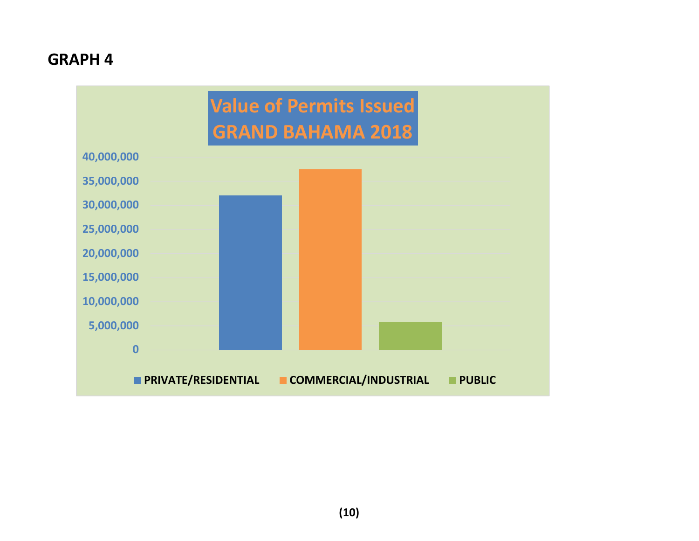# **GRAPH 4**

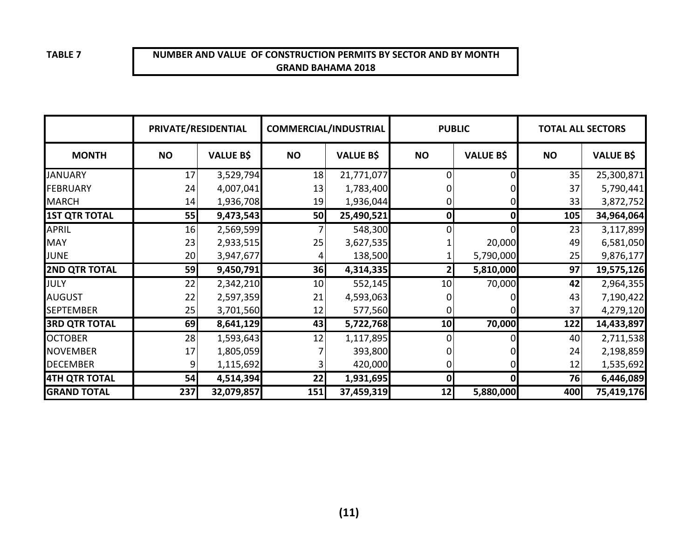## **NUMBER AND VALUE OF CONSTRUCTION PERMITS BY SECTOR AND BY MONTHGRAND BAHAMA 2018**

|                      | PRIVATE/RESIDENTIAL |                  | <b>COMMERCIAL/INDUSTRIAL</b> |                  | <b>PUBLIC</b> |                  | <b>TOTAL ALL SECTORS</b> |                  |
|----------------------|---------------------|------------------|------------------------------|------------------|---------------|------------------|--------------------------|------------------|
| <b>MONTH</b>         | <b>NO</b>           | <b>VALUE B\$</b> | <b>NO</b>                    | <b>VALUE B\$</b> | <b>NO</b>     | <b>VALUE B\$</b> | <b>NO</b>                | <b>VALUE B\$</b> |
| <b>JANUARY</b>       | 17                  | 3,529,794        | 18                           | 21,771,077       | 0             | 0                | 35                       | 25,300,871       |
| <b>FEBRUARY</b>      | 24                  | 4,007,041        | 13                           | 1,783,400        |               |                  | 37                       | 5,790,441        |
| <b>MARCH</b>         | 14                  | 1,936,708        | 19                           | 1,936,044        | 0             | 0                | 33                       | 3,872,752        |
| <b>1ST QTR TOTAL</b> | 55                  | 9,473,543        | 50                           | 25,490,521       | 0             | $\mathbf 0$      | 105                      | 34,964,064       |
| <b>APRIL</b>         | 16                  | 2,569,599        |                              | 548,300          |               | 0                | 23                       | 3,117,899        |
| <b>MAY</b>           | 23                  | 2,933,515        | 25                           | 3,627,535        |               | 20,000           | 49                       | 6,581,050        |
| <b>JUNE</b>          | 20                  | 3,947,677        |                              | 138,500          |               | 5,790,000        | 25                       | 9,876,177        |
| <b>2ND QTR TOTAL</b> | 59                  | 9,450,791        | 36                           | 4,314,335        |               | 5,810,000        | 97                       | 19,575,126       |
| <b>JULY</b>          | 22                  | 2,342,210        | 10                           | 552,145          | 10            | 70,000           | 42                       | 2,964,355        |
| <b>AUGUST</b>        | 22                  | 2,597,359        | 21                           | 4,593,063        |               |                  | 43                       | 7,190,422        |
| <b>SEPTEMBER</b>     | 25                  | 3,701,560        | 12                           | 577,560          |               |                  | 37                       | 4,279,120        |
| <b>3RD QTR TOTAL</b> | 69                  | 8,641,129        | 43                           | 5,722,768        | 10            | 70,000           | 122                      | 14,433,897       |
| <b>OCTOBER</b>       | 28                  | 1,593,643        | 12                           | 1,117,895        | 0             |                  | 40                       | 2,711,538        |
| <b>NOVEMBER</b>      | 17                  | 1,805,059        |                              | 393,800          |               |                  | 24                       | 2,198,859        |
| <b>DECEMBER</b>      | 9                   | 1,115,692        |                              | 420,000          | 0             | 0                | 12                       | 1,535,692        |
| <b>4TH QTR TOTAL</b> | 54                  | 4,514,394        | 22                           | 1,931,695        | 0             | 0                | 76                       | 6,446,089        |
| <b>GRAND TOTAL</b>   | 237                 | 32,079,857       | 151                          | 37,459,319       | 12            | 5,880,000        | 400                      | 75,419,176       |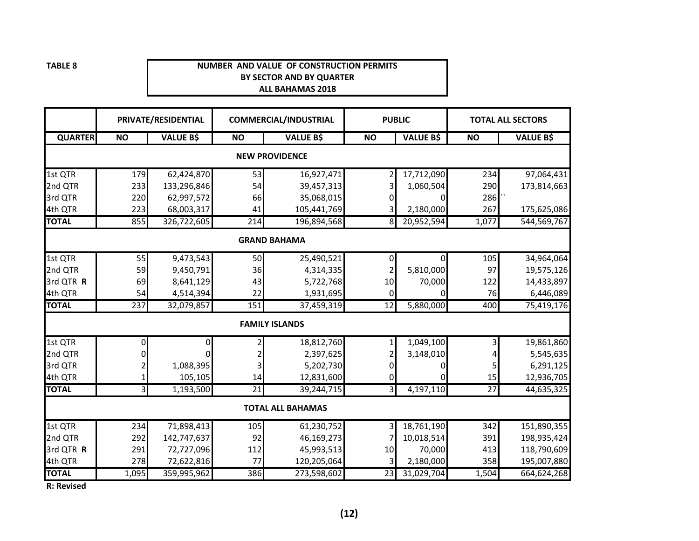#### **NUMBER AND VALUE OF CONSTRUCTION PERMITSBY SECTOR AND BY QUARTERALL BAHAMAS 2018**

|                |                     | PRIVATE/RESIDENTIAL |           | <b>COMMERCIAL/INDUSTRIAL</b> | <b>PUBLIC</b>           |                  |                 | <b>TOTAL ALL SECTORS</b> |  |  |  |
|----------------|---------------------|---------------------|-----------|------------------------------|-------------------------|------------------|-----------------|--------------------------|--|--|--|
| <b>QUARTER</b> | <b>NO</b>           | <b>VALUE B\$</b>    | <b>NO</b> | <b>VALUE B\$</b>             | <b>NO</b>               | <b>VALUE B\$</b> | <b>NO</b>       | <b>VALUE B\$</b>         |  |  |  |
|                |                     |                     |           | <b>NEW PROVIDENCE</b>        |                         |                  |                 |                          |  |  |  |
| 1st QTR        | 179                 | 62,424,870          | 53        | 16,927,471                   | 2                       | 17,712,090       | 234             | 97,064,431               |  |  |  |
| 2nd QTR        | 233                 | 133,296,846         | 54        | 39,457,313                   | 3                       | 1,060,504        | 290             | 173,814,663              |  |  |  |
| 3rd QTR        | 220                 | 62,997,572          | 66        | 35,068,015                   | 01                      | 0                | 286             |                          |  |  |  |
| 4th QTR        | 223                 | 68,003,317          | 41        | 105,441,769                  | 3                       | 2,180,000        | 267             | 175,625,086              |  |  |  |
| <b>TOTAL</b>   | 855                 | 326,722,605         | 214       | 196,894,568                  | 8                       | 20,952,594       | 1,077           | 544,569,767              |  |  |  |
|                | <b>GRAND BAHAMA</b> |                     |           |                              |                         |                  |                 |                          |  |  |  |
| 1st QTR        | 55                  | 9,473,543           | 50        | 25,490,521                   | $\overline{0}$          | 0                | 105             | 34,964,064               |  |  |  |
| 2nd QTR        | 59                  | 9,450,791           | 36        | 4,314,335                    | 2                       | 5,810,000        | 97              | 19,575,126               |  |  |  |
| 3rd QTR R      | 69                  | 8,641,129           | 43        | 5,722,768                    | 10                      | 70,000           | 122             | 14,433,897               |  |  |  |
| 4th QTR        | 54                  | 4,514,394           | 22        | 1,931,695                    | $\mathbf 0$             | 0                | 76              | 6,446,089                |  |  |  |
| <b>TOTAL</b>   | $\overline{237}$    | 32,079,857          | 151       | 37,459,319                   | 12                      | 5,880,000        | 400             | 75,419,176               |  |  |  |
|                |                     |                     |           | <b>FAMILY ISLANDS</b>        |                         |                  |                 |                          |  |  |  |
| 1st QTR        | 0                   | 0                   | 2         | 18,812,760                   | $\mathbf{1}$            | 1,049,100        |                 | 19,861,860               |  |  |  |
| 2nd QTR        | 0                   | $\Omega$            | 2         | 2,397,625                    | $\overline{2}$          | 3,148,010        |                 | 5,545,635                |  |  |  |
| 3rd QTR        |                     | 1,088,395           | 3         | 5,202,730                    | $\mathbf{0}$            | 0                |                 | 6,291,125                |  |  |  |
| 4th QTR        | 1                   | 105,105             | 14        | 12,831,600                   | $\mathbf 0$             | ŋ                | 15              | 12,936,705               |  |  |  |
| <b>TOTAL</b>   | $\overline{3}$      | 1,193,500           | 21        | 39,244,715                   | $\overline{3}$          | 4,197,110        | $\overline{27}$ | 44,635,325               |  |  |  |
|                |                     |                     |           | <b>TOTAL ALL BAHAMAS</b>     |                         |                  |                 |                          |  |  |  |
| 1st QTR        | 234                 | 71,898,413          | 105       | 61,230,752                   | $\overline{\mathbf{3}}$ | 18,761,190       | 342             | 151,890,355              |  |  |  |
| 2nd QTR        | 292                 | 142,747,637         | 92        | 46,169,273                   |                         | 10,018,514       | 391             | 198,935,424              |  |  |  |
| 3rd QTR R      | 291                 | 72,727,096          | 112       | 45,993,513                   | 10                      | 70,000           | 413             | 118,790,609              |  |  |  |
| 4th QTR        | 278                 | 72,622,816          | 77        | 120,205,064                  | 3                       | 2,180,000        | 358             | 195,007,880              |  |  |  |
| <b>TOTAL</b>   | 1,095               | 359,995,962         | 386       | 273,598,602                  | 23                      | 31,029,704       | 1,504           | 664,624,268              |  |  |  |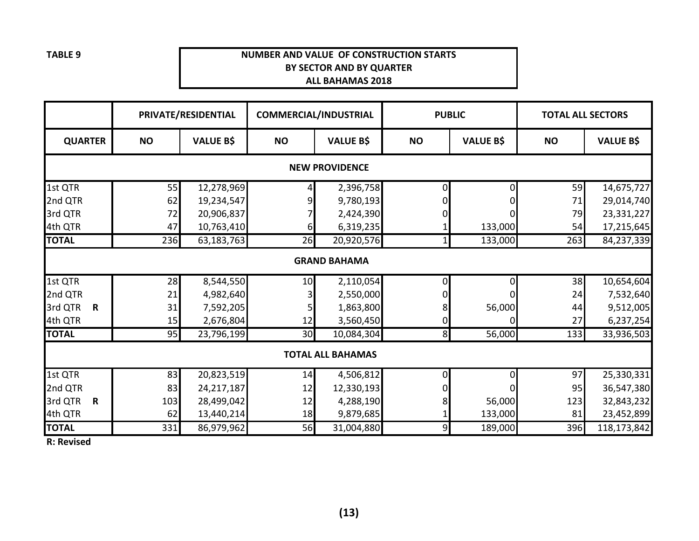## **NUMBER AND VALUE OF CONSTRUCTION STARTSBY SECTOR AND BY QUARTERALL BAHAMAS 2018**

|                        |           | PRIVATE/RESIDENTIAL |                 | <b>COMMERCIAL/INDUSTRIAL</b> | <b>PUBLIC</b>  |                  | <b>TOTAL ALL SECTORS</b> |                  |  |  |  |  |
|------------------------|-----------|---------------------|-----------------|------------------------------|----------------|------------------|--------------------------|------------------|--|--|--|--|
| <b>QUARTER</b>         | <b>NO</b> | <b>VALUE B\$</b>    | <b>NO</b>       | <b>VALUE B\$</b>             | <b>NO</b>      | <b>VALUE B\$</b> | <b>NO</b>                | <b>VALUE B\$</b> |  |  |  |  |
| <b>NEW PROVIDENCE</b>  |           |                     |                 |                              |                |                  |                          |                  |  |  |  |  |
| 1st QTR                | 55        | 12,278,969          |                 | 2,396,758                    | $\overline{0}$ | $\Omega$         | 59                       | 14,675,727       |  |  |  |  |
| 2nd QTR                | 62        | 19,234,547          |                 | 9,780,193                    | $\Omega$       |                  | 71                       | 29,014,740       |  |  |  |  |
| 3rd QTR                | 72        | 20,906,837          |                 | 2,424,390                    |                |                  | 79                       | 23,331,227       |  |  |  |  |
| 4th QTR                | 47        | 10,763,410          | 6               | 6,319,235                    |                | 133,000          | 54                       | 17,215,645       |  |  |  |  |
| <b>TOTAL</b>           | 236       | 63,183,763          | 26              | 20,920,576                   |                | 133,000          | 263                      | 84,237,339       |  |  |  |  |
|                        |           |                     |                 | <b>GRAND BAHAMA</b>          |                |                  |                          |                  |  |  |  |  |
| 1st QTR                | 28        | 8,544,550           | 10              | 2,110,054                    | 01             |                  | 38                       | 10,654,604       |  |  |  |  |
| 2nd QTR                | 21        | 4,982,640           |                 | 2,550,000                    |                |                  | 24                       | 7,532,640        |  |  |  |  |
| 3rd QTR<br>$\mathbf R$ | 31        | 7,592,205           |                 | 1,863,800                    | 8              | 56,000           | 44                       | 9,512,005        |  |  |  |  |
| 4th QTR                | 15        | 2,676,804           | 12              | 3,560,450                    | 0              |                  | 27                       | 6,237,254        |  |  |  |  |
| <b>TOTAL</b>           | 95        | 23,796,199          | 30 <sup>1</sup> | 10,084,304                   | 8 <sup>l</sup> | 56,000           | 133                      | 33,936,503       |  |  |  |  |
|                        |           |                     |                 | <b>TOTAL ALL BAHAMAS</b>     |                |                  |                          |                  |  |  |  |  |
| 1st QTR                | 83        | 20,823,519          | 14              | 4,506,812                    | 01             |                  | 97                       | 25,330,331       |  |  |  |  |
| 2nd QTR                | 83        | 24,217,187          | 12              | 12,330,193                   |                |                  | 95                       | 36,547,380       |  |  |  |  |
| 3rd QTR<br>$\mathbf R$ | 103       | 28,499,042          | 12              | 4,288,190                    |                | 56,000           | 123                      | 32,843,232       |  |  |  |  |
| 4th QTR                | 62        | 13,440,214          | 18              | 9,879,685                    |                | 133,000          | 81                       | 23,452,899       |  |  |  |  |
| <b>TOTAL</b>           | 331       | 86,979,962          | 56              | 31,004,880                   | 9              | 189,000          | 396                      | 118,173,842      |  |  |  |  |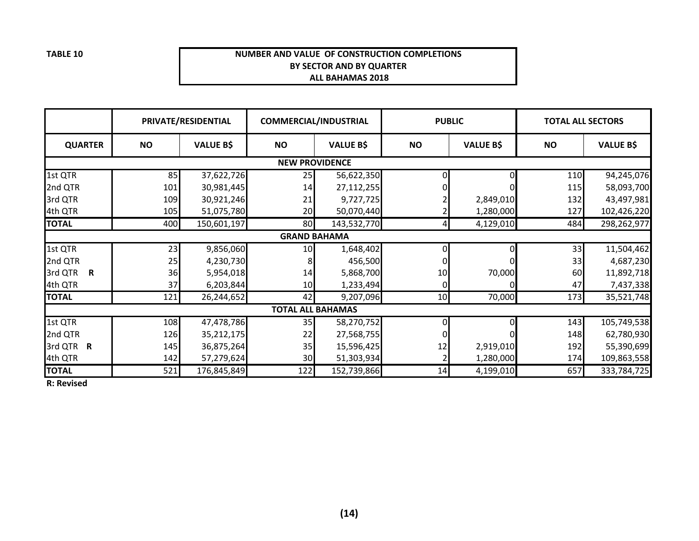#### **NUMBER AND VALUE OF CONSTRUCTION COMPLETIONSBY SECTOR AND BY QUARTER ALL BAHAMAS 2018**

|                       |           | PRIVATE/RESIDENTIAL |           | <b>COMMERCIAL/INDUSTRIAL</b> | <b>PUBLIC</b> |                  | <b>TOTAL ALL SECTORS</b> |                  |  |  |
|-----------------------|-----------|---------------------|-----------|------------------------------|---------------|------------------|--------------------------|------------------|--|--|
| <b>QUARTER</b>        | <b>NO</b> | <b>VALUE B\$</b>    | <b>NO</b> | <b>VALUE B\$</b>             | <b>NO</b>     | <b>VALUE B\$</b> | <b>NO</b>                | <b>VALUE B\$</b> |  |  |
| <b>NEW PROVIDENCE</b> |           |                     |           |                              |               |                  |                          |                  |  |  |
| 1st QTR               | 85        | 37,622,726          | 25        | 56,622,350                   |               |                  | 110                      | 94,245,076       |  |  |
| 2nd QTR               | 101       | 30,981,445          | 14        | 27,112,255                   |               |                  | 115                      | 58,093,700       |  |  |
| 3rd QTR               | 109       | 30,921,246          | 21        | 9,727,725                    |               | 2,849,010        | 132                      | 43,497,981       |  |  |
| 4th QTR               | 105       | 51,075,780          | 20        | 50,070,440                   |               | 1,280,000        | 127                      | 102,426,220      |  |  |
| <b>TOTAL</b>          | 400       | 150,601,197         | 80        | 143,532,770                  |               | 4,129,010        | 484                      | 298,262,977      |  |  |
|                       |           |                     |           | <b>GRAND BAHAMA</b>          |               |                  |                          |                  |  |  |
| 1st QTR               | 23        | 9,856,060           | 10        | 1,648,402                    | 0             | $\Omega$         | 33                       | 11,504,462       |  |  |
| 2nd QTR               | 25        | 4,230,730           |           | 456,500                      |               |                  | 33                       | 4,687,230        |  |  |
| 3rd QTR<br>R          | 36        | 5,954,018           | 14        | 5,868,700                    | 10            | 70,000           | 60                       | 11,892,718       |  |  |
| 4th QTR               | 37        | 6,203,844           | 10        | 1,233,494                    | $\mathbf{0}$  |                  | 47                       | 7,437,338        |  |  |
| <b>TOTAL</b>          | 121       | 26,244,652          | 42        | 9,207,096                    | 10            | 70,000           | 173                      | 35,521,748       |  |  |
|                       |           |                     |           | <b>TOTAL ALL BAHAMAS</b>     |               |                  |                          |                  |  |  |
| 1st QTR               | 108       | 47,478,786          | 35        | 58,270,752                   |               |                  | 143                      | 105,749,538      |  |  |
| 2nd QTR               | 126       | 35,212,175          | 22        | 27,568,755                   |               |                  | 148                      | 62,780,930       |  |  |
| 3rd QTR R             | 145       | 36,875,264          | 35        | 15,596,425                   | 12            | 2,919,010        | 192                      | 55,390,699       |  |  |
| 4th QTR               | 142       | 57,279,624          | 30        | 51,303,934                   |               | 1,280,000        | 174                      | 109,863,558      |  |  |
| <b>TOTAL</b>          | 521       | 176,845,849         | 122       | 152,739,866                  | 14            | 4,199,010        | 657                      | 333,784,725      |  |  |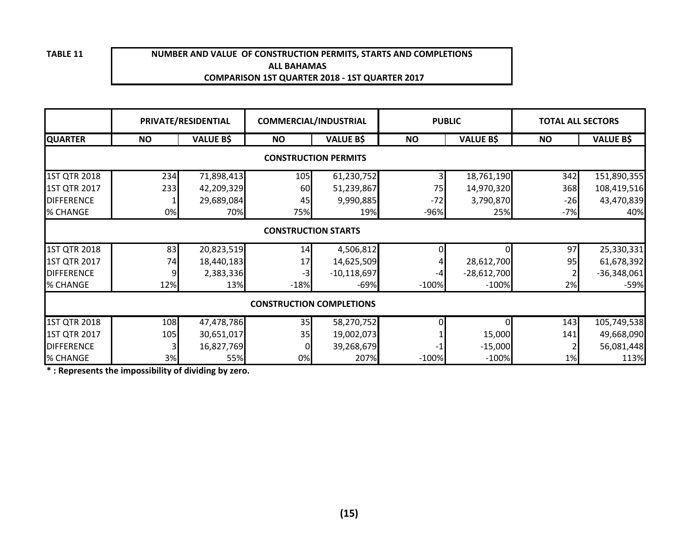#### **ALL BAHAMAS COMPARISON 1ST QUARTER 2018 - 1ST QUARTER 2017NUMBER AND VALUE OF CONSTRUCTION PERMITS, STARTS AND COMPLETIONS**

|                     |                                 | PRIVATE/RESIDENTIAL |           | <b>COMMERCIAL/INDUSTRIAL</b> | <b>PUBLIC</b> |                  | <b>TOTAL ALL SECTORS</b> |                  |  |  |  |  |
|---------------------|---------------------------------|---------------------|-----------|------------------------------|---------------|------------------|--------------------------|------------------|--|--|--|--|
| <b>QUARTER</b>      | <b>NO</b>                       | <b>VALUE B\$</b>    | <b>NO</b> | <b>VALUE B\$</b>             | <b>NO</b>     | <b>VALUE B\$</b> | <b>NO</b>                | <b>VALUE B\$</b> |  |  |  |  |
|                     | <b>CONSTRUCTION PERMITS</b>     |                     |           |                              |               |                  |                          |                  |  |  |  |  |
| 1ST QTR 2018        | 234                             | 71,898,413          | 105       | 61,230,752                   |               | 18,761,190       | 342                      | 151,890,355      |  |  |  |  |
| 1ST QTR 2017        | 233                             | 42,209,329          | 60        | 51,239,867                   | 75            | 14,970,320       | 368                      | 108,419,516      |  |  |  |  |
| <b>DIFFERENCE</b>   |                                 | 29,689,084          | 45        | 9,990,885                    | $-72$         | 3,790,870        | $-26$                    | 43,470,839       |  |  |  |  |
| % CHANGE            | 0%                              | 70%                 | 75%       | 19%                          | $-96%$        | 25%              | $-7%$                    | 40%              |  |  |  |  |
|                     | <b>CONSTRUCTION STARTS</b>      |                     |           |                              |               |                  |                          |                  |  |  |  |  |
| <b>1ST QTR 2018</b> | 83                              | 20,823,519          | 14        | 4,506,812                    |               | ΩI               | 97                       | 25,330,331       |  |  |  |  |
| 1ST QTR 2017        | 74                              | 18,440,183          | 17        | 14,625,509                   |               | 28,612,700       | 95                       | 61,678,392       |  |  |  |  |
| <b>DIFFERENCE</b>   | 9                               | 2,383,336           | $-3$      | $-10,118,697$                |               | $-28,612,700$    |                          | $-36,348,061$    |  |  |  |  |
| % CHANGE            | 12%                             | 13%                 | $-18%$    | $-69%$                       | $-100%$       | $-100%$          | 2%                       | $-59%$           |  |  |  |  |
|                     | <b>CONSTRUCTION COMPLETIONS</b> |                     |           |                              |               |                  |                          |                  |  |  |  |  |
| 1ST QTR 2018        | 108                             | 47,478,786          | 35        | 58,270,752                   |               | 0l               | 143                      | 105,749,538      |  |  |  |  |
| 1ST QTR 2017        | 105                             | 30,651,017          | 35        | 19,002,073                   |               | 15,000           | 141                      | 49,668,090       |  |  |  |  |
| <b>DIFFERENCE</b>   | 3                               | 16,827,769          | 0         | 39,268,679                   |               | $-15,000$        |                          | 56,081,448       |  |  |  |  |
| % CHANGE            | 3%                              | 55%                 | 0%        | 207%                         | $-100%$       | $-100%$          | 1%                       | 113%             |  |  |  |  |

**\* : Represents the impossibility of dividing by zero.**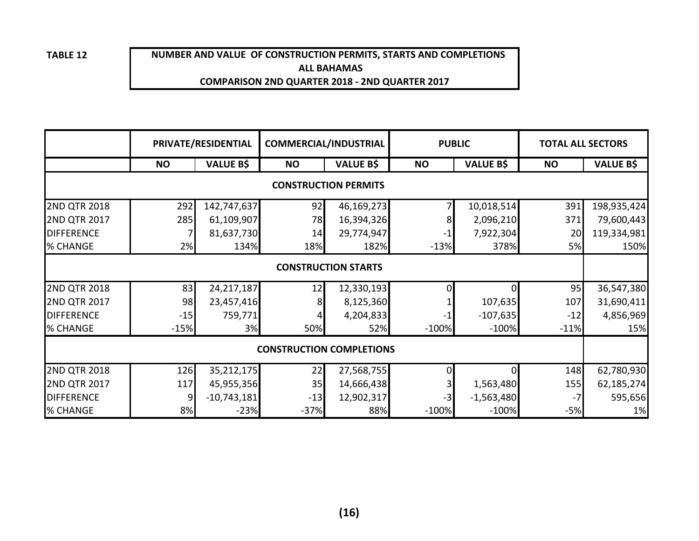## **NUMBER AND VALUE OF CONSTRUCTION PERMITS, STARTS AND COMPLETIONS ALL BAHAMASCOMPARISON 2ND QUARTER 2018 - 2ND QUARTER 2017**

|                            |           | PRIVATE/RESIDENTIAL | <b>COMMERCIAL/INDUSTRIAL</b>    |                             | <b>PUBLIC</b> |                  | <b>TOTAL ALL SECTORS</b> |                  |  |
|----------------------------|-----------|---------------------|---------------------------------|-----------------------------|---------------|------------------|--------------------------|------------------|--|
|                            | <b>NO</b> | <b>VALUE B\$</b>    | <b>NO</b>                       | <b>VALUE B\$</b>            | <b>NO</b>     | <b>VALUE B\$</b> | <b>NO</b>                | <b>VALUE B\$</b> |  |
|                            |           |                     |                                 | <b>CONSTRUCTION PERMITS</b> |               |                  |                          |                  |  |
| <b>2ND QTR 2018</b>        | 292       | 142,747,637         | 92                              | 46,169,273                  |               | 10,018,514       | 391                      | 198,935,424      |  |
| <b>2ND QTR 2017</b>        | 285       | 61,109,907          | 78                              | 16,394,326                  |               | 2,096,210        | 371                      | 79,600,443       |  |
| <b>DIFFERENCE</b>          | 7         | 81,637,730          | 14                              | 29,774,947                  |               | 7,922,304        | 20                       | 119,334,981      |  |
| % CHANGE                   | 2%        | 134%                | 18%                             | 182%                        | $-13%$        | 378%             | 5%                       | 150%             |  |
| <b>CONSTRUCTION STARTS</b> |           |                     |                                 |                             |               |                  |                          |                  |  |
| <b>2ND QTR 2018</b>        | 83        | 24,217,187          | 12                              | 12,330,193                  |               | ΩI               | 95                       | 36,547,380       |  |
| <b>2ND QTR 2017</b>        | 98        | 23,457,416          | 8                               | 8,125,360                   |               | 107,635          | 107                      | 31,690,411       |  |
| <b>DIFFERENCE</b>          | $-15$     | 759,771             |                                 | 4,204,833                   |               | $-107,635$       | $-12$                    | 4,856,969        |  |
| % CHANGE                   | $-15%$    | 3%                  | 50%                             | 52%                         | $-100%$       | $-100%$          | $-11%$                   | 15%              |  |
|                            |           |                     | <b>CONSTRUCTION COMPLETIONS</b> |                             |               |                  |                          |                  |  |
| <b>2ND QTR 2018</b>        | 126       | 35,212,175          | 22                              | 27,568,755                  |               | ΩI               | 148                      | 62,780,930       |  |
| <b>2ND QTR 2017</b>        | 117       | 45,955,356          | 35                              | 14,666,438                  |               | 1,563,480        | 155                      | 62,185,274       |  |
| <b>DIFFERENCE</b>          | 9         | $-10,743,181$       | $-13$                           | 12,902,317                  |               | $-1,563,480$     | -7                       | 595,656          |  |
| % CHANGE                   | 8%        | $-23%$              | $-37%$                          | 88%                         | $-100%$       | $-100%$          | $-5%$                    | 1%               |  |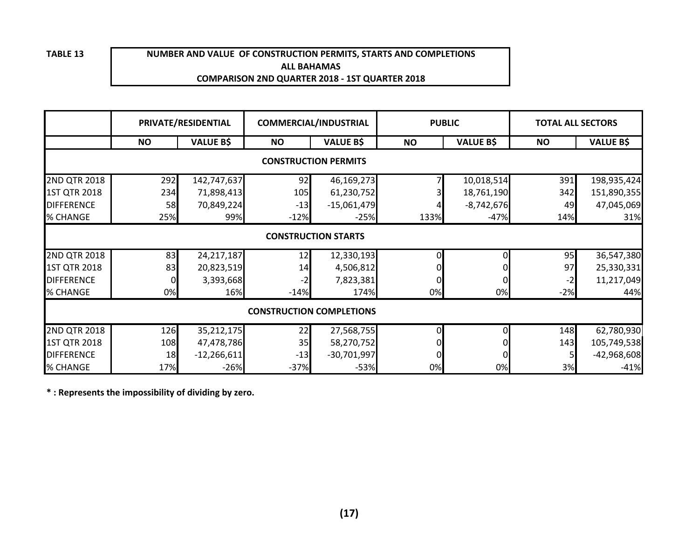#### **NUMBER AND VALUE OF CONSTRUCTION PERMITS, STARTS AND COMPLETIONSALL BAHAMASCOMPARISON 2ND QUARTER 2018 - 1ST QUARTER 2018**

|                     |                                 | PRIVATE/RESIDENTIAL |           | <b>COMMERCIAL/INDUSTRIAL</b> |           | <b>PUBLIC</b>    | <b>TOTAL ALL SECTORS</b> |                  |  |  |  |
|---------------------|---------------------------------|---------------------|-----------|------------------------------|-----------|------------------|--------------------------|------------------|--|--|--|
|                     | <b>NO</b>                       | <b>VALUE B\$</b>    | <b>NO</b> | <b>VALUE B\$</b>             | <b>NO</b> | <b>VALUE B\$</b> | <b>NO</b>                | <b>VALUE B\$</b> |  |  |  |
|                     |                                 |                     |           | <b>CONSTRUCTION PERMITS</b>  |           |                  |                          |                  |  |  |  |
| <b>2ND QTR 2018</b> | 292                             | 142,747,637         | 92        | 46,169,273                   |           | 10,018,514       | 391                      | 198,935,424      |  |  |  |
| <b>1ST QTR 2018</b> | 234                             | 71,898,413          | 105       | 61,230,752                   |           | 18,761,190       | 342                      | 151,890,355      |  |  |  |
| <b>DIFFERENCE</b>   | 58                              | 70,849,224          | $-13$     | $-15,061,479$                |           | $-8,742,676$     | 49                       | 47,045,069       |  |  |  |
| % CHANGE            | 25%                             | 99%                 | $-12%$    | $-25%$                       | 133%      | $-47%$           | 14%                      | 31%              |  |  |  |
|                     |                                 |                     |           | <b>CONSTRUCTION STARTS</b>   |           |                  |                          |                  |  |  |  |
| 2ND QTR 2018        | 83                              | 24, 217, 187        | 12        | 12,330,193                   |           | 0                | 95                       | 36,547,380       |  |  |  |
| 1ST QTR 2018        | 83                              | 20,823,519          | 14        | 4,506,812                    |           |                  | 97                       | 25,330,331       |  |  |  |
| <b>DIFFERENCE</b>   | 0                               | 3,393,668           | -2        | 7,823,381                    | 0         |                  | $-2$                     | 11,217,049       |  |  |  |
| % CHANGE            | 0%                              | 16%                 | $-14%$    | 174%                         | 0%        | 0%               | $-2%$                    | 44%              |  |  |  |
|                     | <b>CONSTRUCTION COMPLETIONS</b> |                     |           |                              |           |                  |                          |                  |  |  |  |
| 2ND QTR 2018        | 126                             | 35,212,175          | 22        | 27,568,755                   |           | 0                | 148                      | 62,780,930       |  |  |  |
| <b>1ST QTR 2018</b> | 108                             | 47,478,786          | 35        | 58,270,752                   |           |                  | 143                      | 105,749,538      |  |  |  |
| <b>DIFFERENCE</b>   | 18                              | $-12,266,611$       | $-13$     | $-30,701,997$                |           |                  |                          | $-42,968,608$    |  |  |  |
| % CHANGE            | 17%                             | $-26%$              | $-37%$    | $-53%$                       | 0%        | 0%               | 3%                       | $-41%$           |  |  |  |

**\* : Represents the impossibility of dividing by zero.**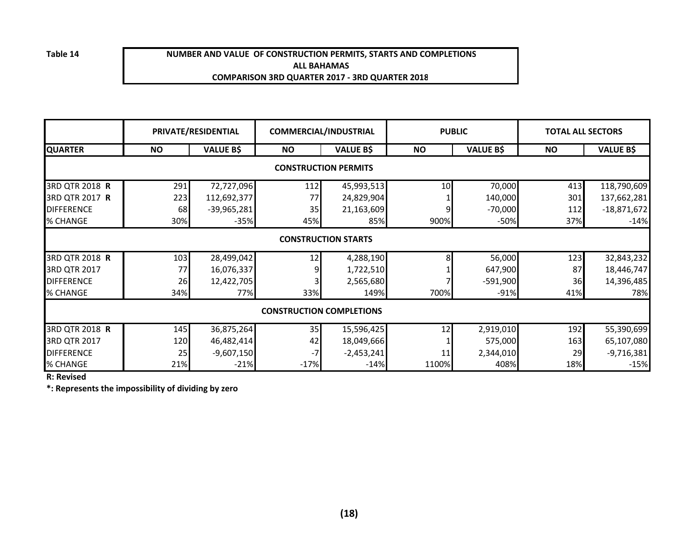**Table 14**

#### **NUMBER AND VALUE OF CONSTRUCTION PERMITS, STARTS AND COMPLETIONSALL BAHAMASCOMPARISON 3RD QUARTER 2017 - 3RD QUARTER 2018**

|                   |                             | PRIVATE/RESIDENTIAL | <b>COMMERCIAL/INDUSTRIAL</b>    |                  | <b>PUBLIC</b> |                  | <b>TOTAL ALL SECTORS</b> |                  |  |  |  |  |
|-------------------|-----------------------------|---------------------|---------------------------------|------------------|---------------|------------------|--------------------------|------------------|--|--|--|--|
| <b>QUARTER</b>    | <b>NO</b>                   | <b>VALUE B\$</b>    | <b>NO</b>                       | <b>VALUE B\$</b> | <b>NO</b>     | <b>VALUE B\$</b> | <b>NO</b>                | <b>VALUE B\$</b> |  |  |  |  |
|                   | <b>CONSTRUCTION PERMITS</b> |                     |                                 |                  |               |                  |                          |                  |  |  |  |  |
| 3RD QTR 2018 R    | 291                         | 72,727,096          | 112                             | 45,993,513       | 10            | 70,000           | 413                      | 118,790,609      |  |  |  |  |
| 3RD QTR 2017 R    | 223                         | 112,692,377         | 77                              | 24,829,904       |               | 140,000          | 301                      | 137,662,281      |  |  |  |  |
| <b>DIFFERENCE</b> | 68                          | $-39,965,281$       | 35                              | 21,163,609       |               | $-70,000$        | 112                      | $-18,871,672$    |  |  |  |  |
| % CHANGE          | 30%                         | $-35%$              | 45%                             | 85%              | 900%          | $-50%$           | 37%                      | $-14%$           |  |  |  |  |
|                   | <b>CONSTRUCTION STARTS</b>  |                     |                                 |                  |               |                  |                          |                  |  |  |  |  |
| 3RD QTR 2018 R    | 103                         | 28,499,042          | 12                              | 4,288,190        |               | 56,000           | 123                      | 32,843,232       |  |  |  |  |
| 3RD QTR 2017      | 77                          | 16,076,337          |                                 | 1,722,510        |               | 647,900          | 87                       | 18,446,747       |  |  |  |  |
| <b>DIFFERENCE</b> | 26                          | 12,422,705          |                                 | 2,565,680        |               | $-591,900$       | 36                       | 14,396,485       |  |  |  |  |
| % CHANGE          | 34%                         | 77%                 | 33%                             | 149%             | 700%          | $-91%$           | 41%                      | 78%              |  |  |  |  |
|                   |                             |                     | <b>CONSTRUCTION COMPLETIONS</b> |                  |               |                  |                          |                  |  |  |  |  |
| 3RD QTR 2018 R    | 145                         | 36,875,264          | 35                              | 15,596,425       | 12            | 2,919,010        | 192                      | 55,390,699       |  |  |  |  |
| 3RD QTR 2017      | 120                         | 46,482,414          | 42                              | 18,049,666       |               | 575,000          | 163                      | 65,107,080       |  |  |  |  |
| <b>DIFFERENCE</b> | 25                          | $-9,607,150$        | $-7$                            | $-2,453,241$     | 11            | 2,344,010        | 29                       | $-9,716,381$     |  |  |  |  |
| % CHANGE          | 21%                         | $-21%$              | $-17%$                          | $-14%$           | 1100%         | 408%             | 18%                      | $-15%$           |  |  |  |  |

**R: Revised**

**\*: Represents the impossibility of dividing by zero**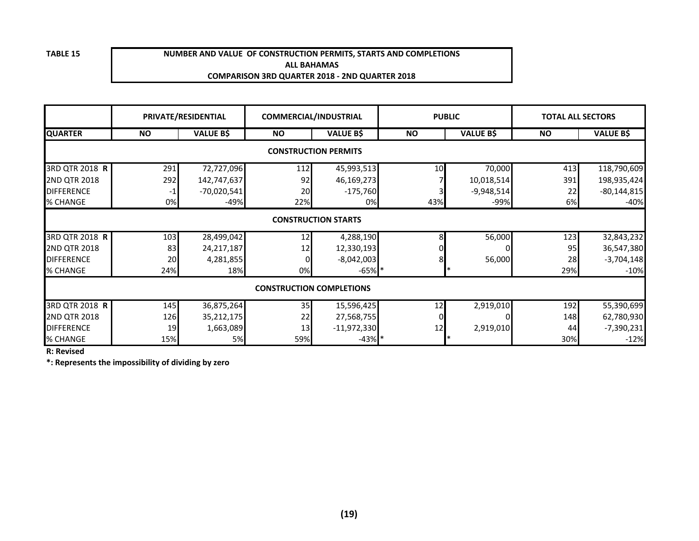#### **NUMBER AND VALUE OF CONSTRUCTION PERMITS, STARTS AND COMPLETIONSALL BAHAMASCOMPARISON 3RD QUARTER 2018 - 2ND QUARTER 2018**

|                   |                                 | PRIVATE/RESIDENTIAL | <b>COMMERCIAL/INDUSTRIAL</b> |                  | <b>PUBLIC</b> |                  | <b>TOTAL ALL SECTORS</b> |                  |  |  |  |  |
|-------------------|---------------------------------|---------------------|------------------------------|------------------|---------------|------------------|--------------------------|------------------|--|--|--|--|
| <b>QUARTER</b>    | <b>NO</b>                       | <b>VALUE B\$</b>    | <b>NO</b>                    | <b>VALUE B\$</b> | <b>NO</b>     | <b>VALUE B\$</b> | <b>NO</b>                | <b>VALUE B\$</b> |  |  |  |  |
|                   | <b>CONSTRUCTION PERMITS</b>     |                     |                              |                  |               |                  |                          |                  |  |  |  |  |
| 3RD QTR 2018 R    | 291                             | 72,727,096          | 112                          | 45,993,513       | 10            | 70,000           | 413                      | 118,790,609      |  |  |  |  |
| 2ND QTR 2018      | 292                             | 142,747,637         | 92                           | 46,169,273       |               | 10,018,514       | 391                      | 198,935,424      |  |  |  |  |
| <b>DIFFERENCE</b> | -1                              | $-70,020,541$       | 20                           | $-175,760$       |               | $-9,948,514$     | 22                       | $-80,144,815$    |  |  |  |  |
| % CHANGE          | 0%                              | $-49%$              | 22%                          | 0%               | 43%           | -99%             | 6%                       | $-40%$           |  |  |  |  |
|                   | <b>CONSTRUCTION STARTS</b>      |                     |                              |                  |               |                  |                          |                  |  |  |  |  |
| 3RD QTR 2018 R    | 103                             | 28,499,042          | 12                           | 4,288,190        |               | 56,000           | 123                      | 32,843,232       |  |  |  |  |
| 2ND QTR 2018      | 83                              | 24, 217, 187        | 12                           | 12,330,193       |               | 01               | 95                       | 36,547,380       |  |  |  |  |
| <b>DIFFERENCE</b> | 20                              | 4,281,855           |                              | $-8,042,003$     |               | 56,000           | 28                       | $-3,704,148$     |  |  |  |  |
| % CHANGE          | 24%                             | 18%                 | 0%                           | $-65%$ *         |               |                  | 29%                      | $-10%$           |  |  |  |  |
|                   | <b>CONSTRUCTION COMPLETIONS</b> |                     |                              |                  |               |                  |                          |                  |  |  |  |  |
| 3RD QTR 2018 R    | 145                             | 36,875,264          | 35                           | 15,596,425       | 12            | 2,919,010        | 192                      | 55,390,699       |  |  |  |  |
| 2ND QTR 2018      | 126                             | 35,212,175          | 22                           | 27,568,755       |               |                  | 148                      | 62,780,930       |  |  |  |  |
| <b>DIFFERENCE</b> | 19                              | 1,663,089           | 13                           | $-11,972,330$    | 12            | 2,919,010        | 44                       | $-7,390,231$     |  |  |  |  |
| % CHANGE          | 15%                             | <b>5%</b>           | 59%                          | $-43%$ *         |               |                  | 30%                      | $-12%$           |  |  |  |  |

**R: Revised**

**\*: Represents the impossibility of dividing by zero**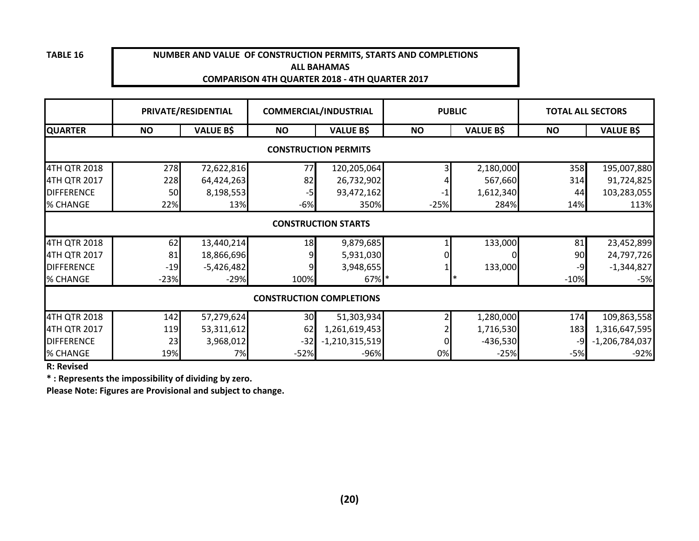#### **NUMBER AND VALUE OF CONSTRUCTION PERMITS, STARTS AND COMPLETIONS ALL BAHAMASCOMPARISON 4TH QUARTER 2018 - 4TH QUARTER 2017**

|                   |                                 | PRIVATE/RESIDENTIAL |           | <b>COMMERCIAL/INDUSTRIAL</b> |           | <b>PUBLIC</b>    |           | <b>TOTAL ALL SECTORS</b> |  |  |  |
|-------------------|---------------------------------|---------------------|-----------|------------------------------|-----------|------------------|-----------|--------------------------|--|--|--|
| <b>QUARTER</b>    | <b>NO</b>                       | <b>VALUE B\$</b>    | <b>NO</b> | <b>VALUE B\$</b>             | <b>NO</b> | <b>VALUE B\$</b> | <b>NO</b> | <b>VALUE B\$</b>         |  |  |  |
|                   |                                 |                     |           | <b>CONSTRUCTION PERMITS</b>  |           |                  |           |                          |  |  |  |
| 4TH QTR 2018      | <b>278</b>                      | 72,622,816          | 77        | 120,205,064                  |           | 2,180,000        | 358       | 195,007,880              |  |  |  |
| 4TH QTR 2017      | 228                             | 64,424,263          | 82        | 26,732,902                   |           | 567,660          | 314       | 91,724,825               |  |  |  |
| <b>DIFFERENCE</b> | 50                              | 8,198,553           | -5        | 93,472,162                   | -1        | 1,612,340        | 44        | 103,283,055              |  |  |  |
| % CHANGE          | 22%                             | 13%                 | $-6%$     | 350%                         | $-25%$    | 284%             | 14%       | 113%                     |  |  |  |
|                   | <b>CONSTRUCTION STARTS</b>      |                     |           |                              |           |                  |           |                          |  |  |  |
| 4TH QTR 2018      | 62                              | 13,440,214          | 18        | 9,879,685                    |           | 133,000          | 81        | 23,452,899               |  |  |  |
| 4TH QTR 2017      | 81                              | 18,866,696          |           | 5,931,030                    |           |                  | 90        | 24,797,726               |  |  |  |
| <b>DIFFERENCE</b> | $-19$                           | $-5,426,482$        |           | 3,948,655                    |           | 133,000          | -9        | $-1,344,827$             |  |  |  |
| % CHANGE          | $-23%$                          | $-29%$              | 100%      | 67% *                        |           |                  | $-10%$    | $-5%$                    |  |  |  |
|                   | <b>CONSTRUCTION COMPLETIONS</b> |                     |           |                              |           |                  |           |                          |  |  |  |
| 4TH QTR 2018      | 142                             | 57,279,624          | 30        | 51,303,934                   |           | 1,280,000        | 174       | 109,863,558              |  |  |  |
| 4TH QTR 2017      | 119                             | 53,311,612          | 62        | 1,261,619,453                |           | 1,716,530        | 183       | 1,316,647,595            |  |  |  |
| <b>DIFFERENCE</b> | 23                              | 3,968,012           | $-32$     | $-1,210,315,519$             |           | $-436,530$       | -9        | $-1,206,784,037$         |  |  |  |
| % CHANGE          | 19%                             | 7%                  | $-52%$    | -96%                         | 0%        | $-25%$           | $-5%$     | $-92%$                   |  |  |  |

**R: Revised**

**\* : Represents the impossibility of dividing by zero.**

**Please Note: Figures are Provisional and subject to change.**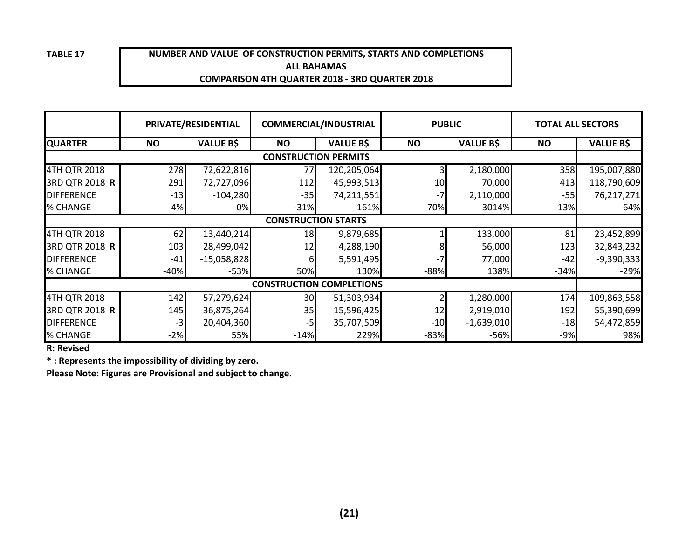#### **NUMBER AND VALUE OF CONSTRUCTION PERMITS, STARTS AND COMPLETIONSALL BAHAMASCOMPARISON 4TH QUARTER 2018 - 3RD QUARTER 2018**

|                            |           | PRIVATE/RESIDENTIAL | <b>COMMERCIAL/INDUSTRIAL</b>    |                  | <b>PUBLIC</b> |                  | <b>TOTAL ALL SECTORS</b> |                  |  |  |
|----------------------------|-----------|---------------------|---------------------------------|------------------|---------------|------------------|--------------------------|------------------|--|--|
| <b>QUARTER</b>             | <b>NO</b> | <b>VALUE B\$</b>    | <b>NO</b>                       | <b>VALUE B\$</b> | <b>NO</b>     | <b>VALUE B\$</b> | <b>NO</b>                | <b>VALUE B\$</b> |  |  |
|                            |           |                     | <b>CONSTRUCTION PERMITS</b>     |                  |               |                  |                          |                  |  |  |
| 4TH QTR 2018               | 278       | 72,622,816          | 77                              | 120,205,064      |               | 2,180,000        | 358                      | 195,007,880      |  |  |
| 3RD QTR 2018 <b>R</b>      | 291       | 72,727,096          | 112                             | 45,993,513       | 10            | 70,000           | 413                      | 118,790,609      |  |  |
| <b>DIFFERENCE</b>          | $-13$     | $-104,280$          | $-35$                           | 74,211,551       |               | 2,110,000        | $-55$                    | 76,217,271       |  |  |
| % CHANGE                   | $-4%$     | 0%                  | $-31%$                          | 161%             | $-70%$        | 3014%            | $-13%$                   | 64%              |  |  |
| <b>CONSTRUCTION STARTS</b> |           |                     |                                 |                  |               |                  |                          |                  |  |  |
| 4TH QTR 2018               | 62        | 13,440,214          | 18                              | 9,879,685        |               | 133,000          | 81                       | 23,452,899       |  |  |
| 3RD QTR 2018 R             | 103       | 28,499,042          | 12                              | 4,288,190        |               | 56,000           | 123                      | 32,843,232       |  |  |
| <b>DIFFERENCE</b>          | $-41$     | $-15,058,828$       |                                 | 5,591,495        |               | 77,000           | -42                      | $-9,390,333$     |  |  |
| % CHANGE                   | $-40%$    | $-53%$              | 50%                             | 130%             | $-88%$        | 138%             | $-34%$                   | $-29%$           |  |  |
|                            |           |                     | <b>CONSTRUCTION COMPLETIONS</b> |                  |               |                  |                          |                  |  |  |
| 4TH QTR 2018               | 142       | 57,279,624          | 30                              | 51,303,934       |               | 1,280,000        | 174                      | 109,863,558      |  |  |
| 3RD QTR 2018 R             | 145       | 36,875,264          | 35                              | 15,596,425       | 12            | 2,919,010        | 192                      | 55,390,699       |  |  |
| <b>DIFFERENCE</b>          | $-3$      | 20,404,360          | -5                              | 35,707,509       | $-10$         | $-1,639,010$     | $-18$                    | 54,472,859       |  |  |
| % CHANGE                   | $-2%$     | 55%                 | $-14%$                          | 229%             | $-83%$        | -56%             | $-9%$                    | 98%              |  |  |

**R: Revised**

**\* : Represents the impossibility of dividing by zero.**

**Please Note: Figures are Provisional and subject to change.**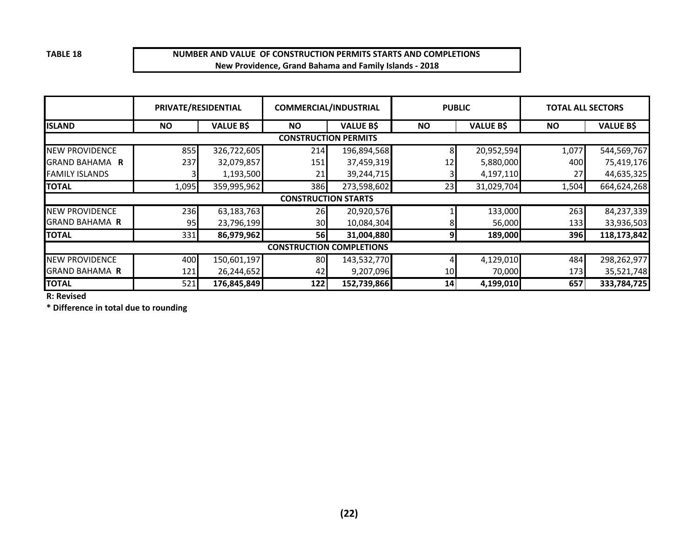#### **NUMBER AND VALUE OF CONSTRUCTION PERMITS STARTS AND COMPLETIONSNew Providence, Grand Bahama and Family Islands - 2018**

|                       | PRIVATE/RESIDENTIAL         |                  |                            | <b>COMMERCIAL/INDUSTRIAL</b>    | <b>PUBLIC</b> |                  | <b>TOTAL ALL SECTORS</b> |                  |  |  |
|-----------------------|-----------------------------|------------------|----------------------------|---------------------------------|---------------|------------------|--------------------------|------------------|--|--|
| <b>ISLAND</b>         | <b>NO</b>                   | <b>VALUE B\$</b> | <b>NO</b>                  | <b>VALUE B\$</b>                | <b>NO</b>     | <b>VALUE B\$</b> | <b>NO</b>                | <b>VALUE B\$</b> |  |  |
|                       | <b>CONSTRUCTION PERMITS</b> |                  |                            |                                 |               |                  |                          |                  |  |  |
| <b>NEW PROVIDENCE</b> | 855                         | 326,722,605      | 214                        | 196,894,568                     | 8             | 20,952,594       | 1,077                    | 544,569,767      |  |  |
| <b>GRAND BAHAMA R</b> | 237                         | 32,079,857       | 151                        | 37,459,319                      | 12            | 5,880,000        | 400                      | 75,419,176       |  |  |
| <b>FAMILY ISLANDS</b> |                             | 1,193,500        | 21                         | 39,244,715                      |               | 4,197,110        | 27                       | 44,635,325       |  |  |
| <b>TOTAL</b>          | 1,095                       | 359,995,962      | 386                        | 273,598,602                     | 23            | 31,029,704       | 1,504                    | 664,624,268      |  |  |
|                       |                             |                  | <b>CONSTRUCTION STARTS</b> |                                 |               |                  |                          |                  |  |  |
| <b>NEW PROVIDENCE</b> | 236                         | 63,183,763       | 26                         | 20,920,576                      |               | 133,000          | 263                      | 84,237,339       |  |  |
| <b>GRAND BAHAMA R</b> | 95                          | 23,796,199       | 30                         | 10,084,304                      | 81            | 56,000           | 133                      | 33,936,503       |  |  |
| <b>TOTAL</b>          | 331                         | 86,979,962       | 56                         | 31,004,880                      | 9             | 189,000          | 396                      | 118,173,842      |  |  |
|                       |                             |                  |                            | <b>CONSTRUCTION COMPLETIONS</b> |               |                  |                          |                  |  |  |
| <b>NEW PROVIDENCE</b> | 400                         | 150,601,197      | 80                         | 143,532,770                     |               | 4,129,010        | 484                      | 298,262,977      |  |  |
| <b>GRAND BAHAMA R</b> | 121                         | 26,244,652       | 42                         | 9,207,096                       | 10            | 70,000           | 173                      | 35,521,748       |  |  |
| <b>TOTAL</b>          | 521                         | 176,845,849      | 122                        | 152,739,866                     | 14            | 4,199,010        | 657                      | 333,784,725      |  |  |

**R: Revised**

**\* Difference in total due to rounding**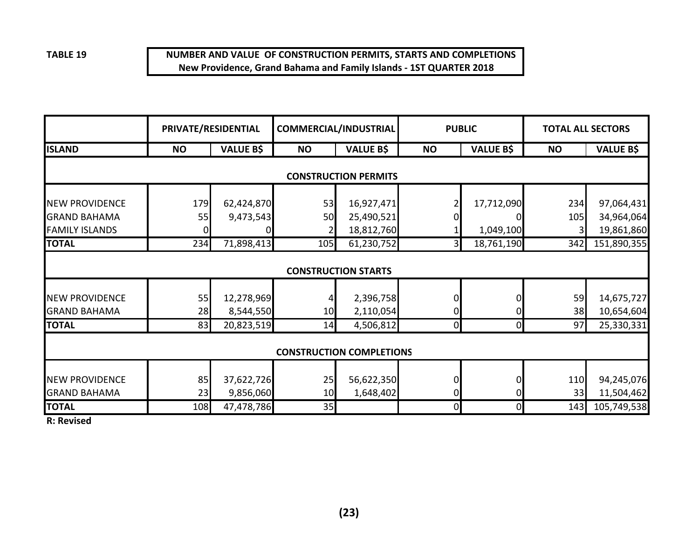#### **NUMBER AND VALUE OF CONSTRUCTION PERMITS, STARTS AND COMPLETIONSNew Providence, Grand Bahama and Family Islands - 1ST QUARTER 2018**

|                       |                             | PRIVATE/RESIDENTIAL |           | COMMERCIAL/INDUSTRIAL           | <b>PUBLIC</b> |                  | <b>TOTAL ALL SECTORS</b> |                  |  |  |  |  |  |
|-----------------------|-----------------------------|---------------------|-----------|---------------------------------|---------------|------------------|--------------------------|------------------|--|--|--|--|--|
| <b>ISLAND</b>         | <b>NO</b>                   | <b>VALUE B\$</b>    | <b>NO</b> | <b>VALUE B\$</b>                | <b>NO</b>     | <b>VALUE B\$</b> | <b>NO</b>                | <b>VALUE B\$</b> |  |  |  |  |  |
|                       | <b>CONSTRUCTION PERMITS</b> |                     |           |                                 |               |                  |                          |                  |  |  |  |  |  |
| <b>NEW PROVIDENCE</b> | 179                         | 62,424,870          | 53        | 16,927,471                      |               | 17,712,090       | 234                      | 97,064,431       |  |  |  |  |  |
| <b>GRAND BAHAMA</b>   | 55                          | 9,473,543           | 50        | 25,490,521                      |               |                  | 105                      | 34,964,064       |  |  |  |  |  |
| <b>FAMILY ISLANDS</b> |                             |                     | 2         | 18,812,760                      |               | 1,049,100        | 3                        | 19,861,860       |  |  |  |  |  |
| <b>TOTAL</b>          | 234                         | 71,898,413          | 105       | 61,230,752                      | 31            | 18,761,190       | 342                      | 151,890,355      |  |  |  |  |  |
|                       |                             |                     |           | <b>CONSTRUCTION STARTS</b>      |               |                  |                          |                  |  |  |  |  |  |
| <b>NEW PROVIDENCE</b> | 55                          | 12,278,969          |           | 2,396,758                       |               |                  | 59                       | 14,675,727       |  |  |  |  |  |
| <b>GRAND BAHAMA</b>   | 28                          | 8,544,550           | 10        | 2,110,054                       |               |                  | 38                       | 10,654,604       |  |  |  |  |  |
| <b>TOTAL</b>          | 83                          | 20,823,519          | 14        | 4,506,812                       | 0             | $\mathbf 0$      | 97                       | 25,330,331       |  |  |  |  |  |
|                       |                             |                     |           | <b>CONSTRUCTION COMPLETIONS</b> |               |                  |                          |                  |  |  |  |  |  |
| <b>NEW PROVIDENCE</b> | 85                          | 37,622,726          | 25        | 56,622,350                      |               |                  | 110                      | 94,245,076       |  |  |  |  |  |
| <b>GRAND BAHAMA</b>   | 23                          | 9,856,060           | 10        | 1,648,402                       |               |                  | 33                       | 11,504,462       |  |  |  |  |  |
| <b>TOTAL</b>          | 108                         | 47,478,786          | 35        |                                 | 01            | 0                | 143                      | 105,749,538      |  |  |  |  |  |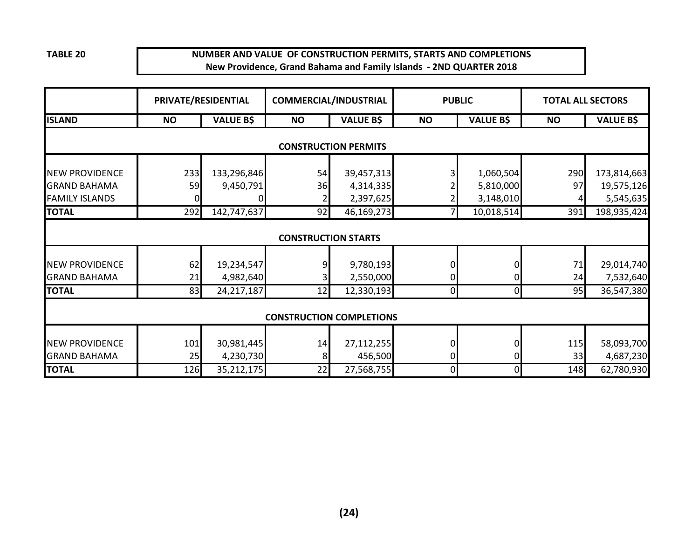#### **NUMBER AND VALUE OF CONSTRUCTION PERMITS, STARTS AND COMPLETIONSNew Providence, Grand Bahama and Family Islands - 2ND QUARTER 2018**

|                       | PRIVATE/RESIDENTIAL |                  | <b>COMMERCIAL/INDUSTRIAL</b>    |                             | <b>PUBLIC</b>  |                  | <b>TOTAL ALL SECTORS</b> |                  |
|-----------------------|---------------------|------------------|---------------------------------|-----------------------------|----------------|------------------|--------------------------|------------------|
| <b>ISLAND</b>         | <b>NO</b>           | <b>VALUE B\$</b> | <b>NO</b>                       | <b>VALUE B\$</b>            | <b>NO</b>      | <b>VALUE B\$</b> | <b>NO</b>                | <b>VALUE B\$</b> |
|                       |                     |                  |                                 | <b>CONSTRUCTION PERMITS</b> |                |                  |                          |                  |
| <b>NEW PROVIDENCE</b> | 233                 | 133,296,846      | 54                              | 39,457,313                  |                | 1,060,504        | 290                      | 173,814,663      |
| <b>GRAND BAHAMA</b>   | 59                  | 9,450,791        | 36                              | 4,314,335                   |                | 5,810,000        | 97                       | 19,575,126       |
| <b>FAMILY ISLANDS</b> |                     |                  |                                 | 2,397,625                   |                | 3,148,010        |                          | 5,545,635        |
| <b>TOTAL</b>          | 292                 | 142,747,637      | 92                              | 46,169,273                  | 71             | 10,018,514       | 391                      | 198,935,424      |
|                       |                     |                  | <b>CONSTRUCTION STARTS</b>      |                             |                |                  |                          |                  |
| <b>NEW PROVIDENCE</b> | 62                  | 19,234,547       | 9                               | 9,780,193                   | 0              | 0                | 71                       | 29,014,740       |
| <b>GRAND BAHAMA</b>   | 21                  | 4,982,640        |                                 | 2,550,000                   | 0              | 0                | 24                       | 7,532,640        |
| <b>TOTAL</b>          | 83                  | 24,217,187       | 12                              | 12,330,193                  | $\overline{0}$ | $\overline{0}$   | 95                       | 36,547,380       |
|                       |                     |                  | <b>CONSTRUCTION COMPLETIONS</b> |                             |                |                  |                          |                  |
| <b>NEW PROVIDENCE</b> | 101                 | 30,981,445       | 14                              | 27,112,255                  | 0              | 0                | 115                      | 58,093,700       |
| <b>GRAND BAHAMA</b>   | 25                  | 4,230,730        | 8                               | 456,500                     | 0              | 0                | 33                       | 4,687,230        |
| <b>TOTAL</b>          | 126                 | 35,212,175       | 22                              | 27,568,755                  | $\overline{0}$ | $\overline{0}$   | 148                      | 62,780,930       |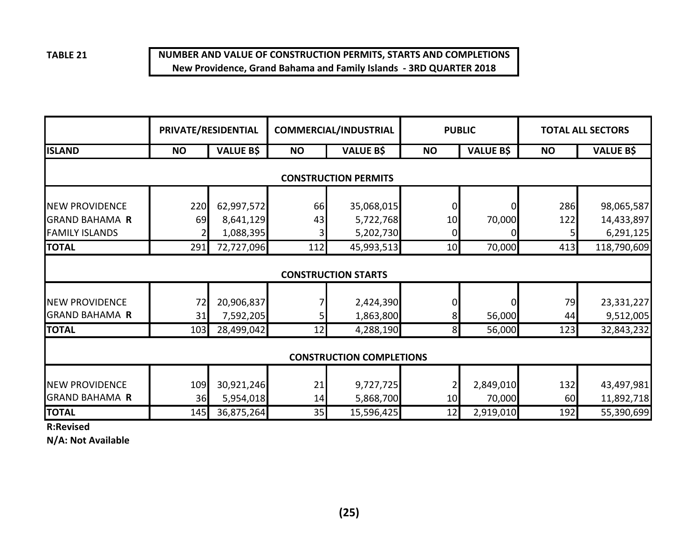## **NUMBER AND VALUE OF CONSTRUCTION PERMITS, STARTS AND COMPLETIONSNew Providence, Grand Bahama and Family Islands - 3RD QUARTER 2018**

|                                                | PRIVATE/RESIDENTIAL             |                         |           | <b>COMMERCIAL/INDUSTRIAL</b> | <b>PUBLIC</b>        |                     |           | <b>TOTAL ALL SECTORS</b> |  |  |  |
|------------------------------------------------|---------------------------------|-------------------------|-----------|------------------------------|----------------------|---------------------|-----------|--------------------------|--|--|--|
| <b>ISLAND</b>                                  | <b>NO</b>                       | <b>VALUE B\$</b>        | <b>NO</b> | <b>VALUE B\$</b>             | <b>NO</b>            | <b>VALUE B\$</b>    | <b>NO</b> | <b>VALUE B\$</b>         |  |  |  |
| <b>CONSTRUCTION PERMITS</b>                    |                                 |                         |           |                              |                      |                     |           |                          |  |  |  |
| <b>NEW PROVIDENCE</b>                          | 220                             | 62,997,572              | 66        | 35,068,015                   | 0                    |                     | 286       | 98,065,587               |  |  |  |
| <b>GRAND BAHAMA R</b><br><b>FAMILY ISLANDS</b> | 69                              | 8,641,129<br>1,088,395  | 43        | 5,722,768<br>5,202,730       | 10<br>0              | 70,000              | 122       | 14,433,897<br>6,291,125  |  |  |  |
| <b>TOTAL</b>                                   | 291                             | 72,727,096              | 112       | 45,993,513                   | 10                   | 70,000              | 413       | 118,790,609              |  |  |  |
|                                                |                                 |                         |           | <b>CONSTRUCTION STARTS</b>   |                      |                     |           |                          |  |  |  |
| <b>NEW PROVIDENCE</b><br><b>GRAND BAHAMA R</b> | 72<br>31                        | 20,906,837<br>7,592,205 |           | 2,424,390<br>1,863,800       | 8                    | 56,000              | 79<br>44  | 23,331,227<br>9,512,005  |  |  |  |
| <b>TOTAL</b>                                   | 103                             | 28,499,042              | 12        | 4,288,190                    | 8 <sup>1</sup>       | 56,000              | 123       | 32,843,232               |  |  |  |
|                                                | <b>CONSTRUCTION COMPLETIONS</b> |                         |           |                              |                      |                     |           |                          |  |  |  |
| <b>NEW PROVIDENCE</b><br><b>GRAND BAHAMA R</b> | 109<br>36                       | 30,921,246<br>5,954,018 | 21<br>14  | 9,727,725<br>5,868,700       | $\overline{2}$<br>10 | 2,849,010<br>70,000 | 132<br>60 | 43,497,981<br>11,892,718 |  |  |  |
| <b>TOTAL</b>                                   | 145                             | 36,875,264              | 35        | 15,596,425                   | 12                   | 2,919,010           | 192       | 55,390,699               |  |  |  |

**R:Revised**

**N/A: Not Available**